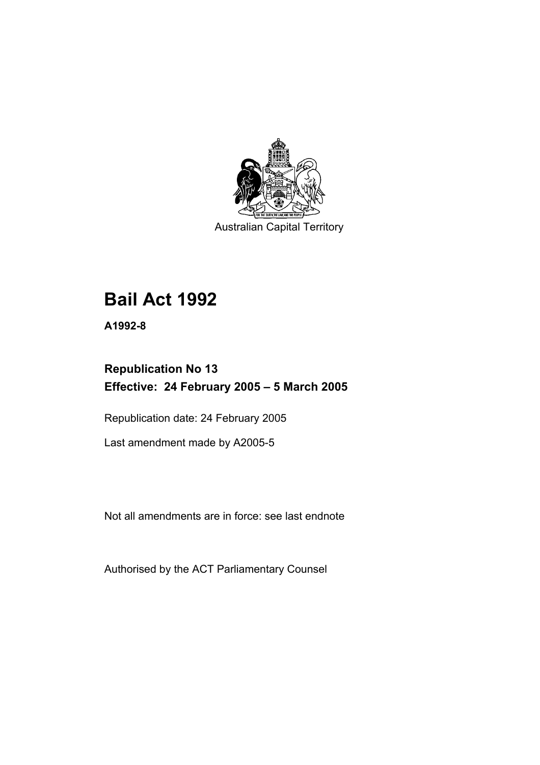

Australian Capital Territory

# **Bail Act 1992**

**A1992-8** 

# **Republication No 13 Effective: 24 February 2005 – 5 March 2005**

Republication date: 24 February 2005

Last amendment made by A2005-5

Not all amendments are in force: see last endnote

Authorised by the ACT Parliamentary Counsel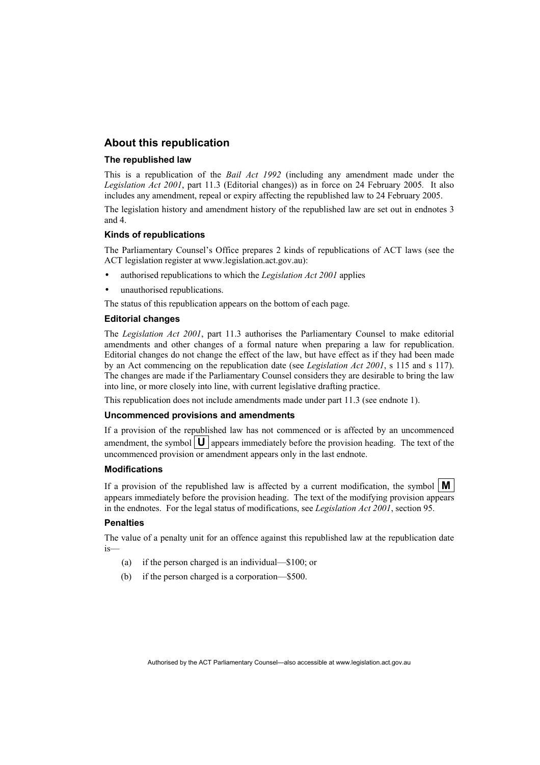# **About this republication**

#### **The republished law**

This is a republication of the *Bail Act 1992* (including any amendment made under the *Legislation Act 2001*, part 11.3 (Editorial changes)) as in force on 24 February 2005*.* It also includes any amendment, repeal or expiry affecting the republished law to 24 February 2005.

The legislation history and amendment history of the republished law are set out in endnotes 3 and 4.

#### **Kinds of republications**

The Parliamentary Counsel's Office prepares 2 kinds of republications of ACT laws (see the ACT legislation register at www.legislation.act.gov.au):

- authorised republications to which the *Legislation Act 2001* applies
- unauthorised republications.

The status of this republication appears on the bottom of each page.

#### **Editorial changes**

The *Legislation Act 2001*, part 11.3 authorises the Parliamentary Counsel to make editorial amendments and other changes of a formal nature when preparing a law for republication. Editorial changes do not change the effect of the law, but have effect as if they had been made by an Act commencing on the republication date (see *Legislation Act 2001*, s 115 and s 117). The changes are made if the Parliamentary Counsel considers they are desirable to bring the law into line, or more closely into line, with current legislative drafting practice.

This republication does not include amendments made under part 11.3 (see endnote 1).

#### **Uncommenced provisions and amendments**

If a provision of the republished law has not commenced or is affected by an uncommenced amendment, the symbol  $\mathbf{U}$  appears immediately before the provision heading. The text of the uncommenced provision or amendment appears only in the last endnote.

#### **Modifications**

If a provision of the republished law is affected by a current modification, the symbol  $\mathbf{M}$ appears immediately before the provision heading. The text of the modifying provision appears in the endnotes. For the legal status of modifications, see *Legislation Act 2001*, section 95.

#### **Penalties**

The value of a penalty unit for an offence against this republished law at the republication date is—

- (a) if the person charged is an individual—\$100; or
- (b) if the person charged is a corporation—\$500.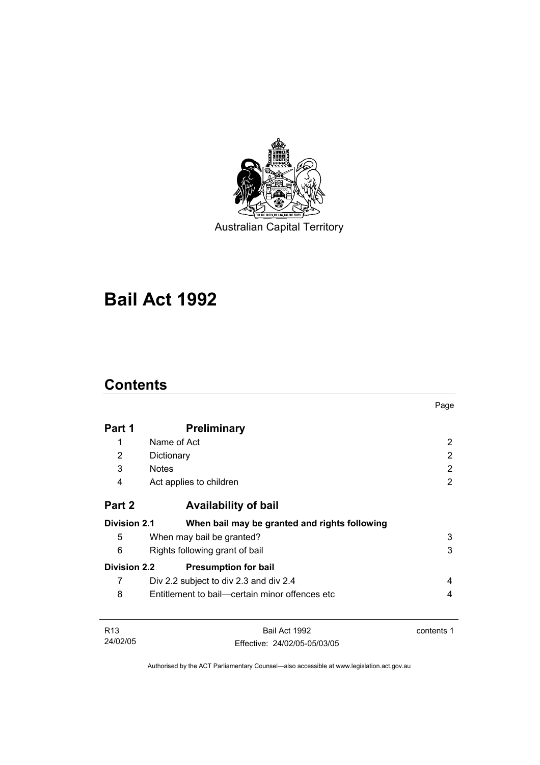

Australian Capital Territory

# **Bail Act 1992**

# **Contents**

|                     |                                                | Page       |
|---------------------|------------------------------------------------|------------|
| Part 1              | <b>Preliminary</b>                             |            |
| 1                   | Name of Act                                    | 2          |
| 2                   | Dictionary                                     | 2          |
| 3                   | <b>Notes</b>                                   | 2          |
| 4                   | Act applies to children                        | 2          |
| Part 2              | <b>Availability of bail</b>                    |            |
| <b>Division 2.1</b> | When bail may be granted and rights following  |            |
| 5                   | When may bail be granted?                      | 3          |
| 6                   | Rights following grant of bail                 | 3          |
| <b>Division 2.2</b> | <b>Presumption for bail</b>                    |            |
| 7                   | Div 2.2 subject to div 2.3 and div 2.4         | 4          |
| 8                   | Entitlement to bail—certain minor offences etc | 4          |
| R <sub>13</sub>     | Bail Act 1992                                  | contents 1 |
| 24/02/05            | Effective: 24/02/05-05/03/05                   |            |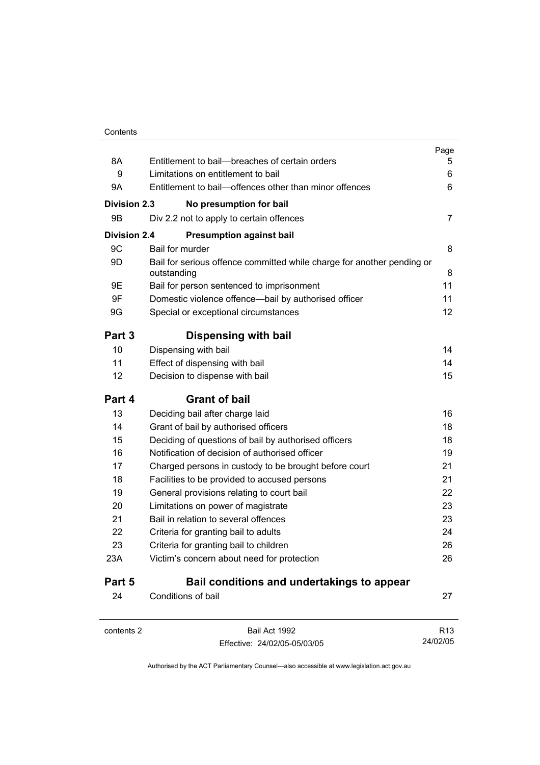|                     |                                                                                       | Page            |
|---------------------|---------------------------------------------------------------------------------------|-----------------|
| 8A                  | Entitlement to bail--breaches of certain orders                                       | 5               |
| 9                   | Limitations on entitlement to bail                                                    | 6               |
| 9Α                  | Entitlement to bail-offences other than minor offences                                | 6               |
| <b>Division 2.3</b> | No presumption for bail                                                               |                 |
| 9Β                  | Div 2.2 not to apply to certain offences                                              | 7               |
| <b>Division 2.4</b> | <b>Presumption against bail</b>                                                       |                 |
| 9C                  | Bail for murder                                                                       | 8               |
| 9D                  | Bail for serious offence committed while charge for another pending or<br>outstanding | 8               |
| 9E                  | Bail for person sentenced to imprisonment                                             | 11              |
| 9F                  | Domestic violence offence-bail by authorised officer                                  | 11              |
| 9G                  | Special or exceptional circumstances                                                  | 12              |
| Part 3              | Dispensing with bail                                                                  |                 |
| 10                  | Dispensing with bail                                                                  | 14              |
| 11                  | Effect of dispensing with bail                                                        | 14              |
| 12                  | Decision to dispense with bail                                                        | 15              |
| Part 4              | <b>Grant of bail</b>                                                                  |                 |
| 13                  | Deciding bail after charge laid                                                       | 16              |
| 14                  | Grant of bail by authorised officers                                                  | 18              |
| 15                  | Deciding of questions of bail by authorised officers                                  | 18              |
| 16                  | Notification of decision of authorised officer                                        | 19              |
| 17                  | Charged persons in custody to be brought before court                                 | 21              |
| 18                  | Facilities to be provided to accused persons                                          | 21              |
| 19                  | General provisions relating to court bail                                             | 22              |
| 20                  | Limitations on power of magistrate                                                    | 23              |
| 21                  | Bail in relation to several offences                                                  | 23              |
| 22                  | Criteria for granting bail to adults                                                  | 24              |
| 23                  | Criteria for granting bail to children                                                | 26              |
| 23A                 | Victim's concern about need for protection                                            | 26              |
| Part 5              | Bail conditions and undertakings to appear                                            |                 |
| 24                  | Conditions of bail                                                                    | 27              |
| contents 2          | Bail Act 1992                                                                         | R <sub>13</sub> |

Effective: 24/02/05-05/03/05

24/02/05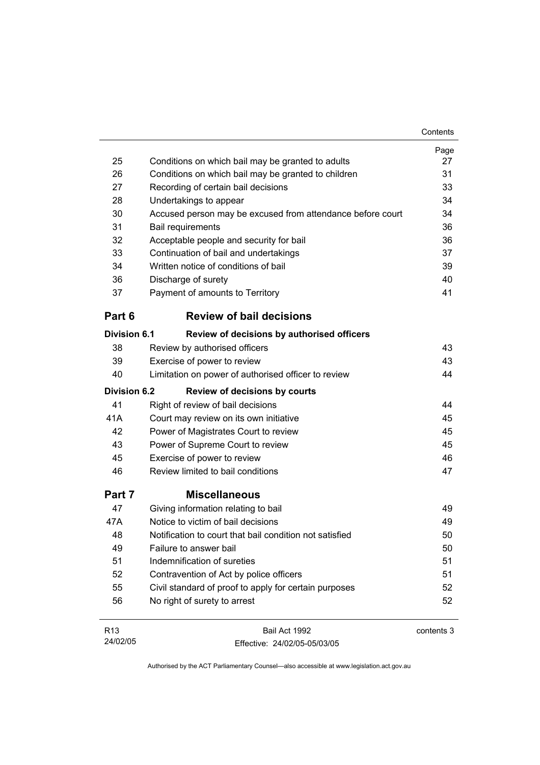|                     |                                                            | Contents   |
|---------------------|------------------------------------------------------------|------------|
|                     |                                                            | Page       |
| 25                  | Conditions on which bail may be granted to adults          | 27         |
| 26                  | Conditions on which bail may be granted to children        | 31         |
| 27                  | Recording of certain bail decisions                        | 33         |
| 28                  | Undertakings to appear                                     | 34         |
| 30                  | Accused person may be excused from attendance before court | 34         |
| 31                  | <b>Bail requirements</b>                                   | 36         |
| 32                  | Acceptable people and security for bail                    | 36         |
| 33                  | Continuation of bail and undertakings                      | 37         |
| 34                  | Written notice of conditions of bail                       | 39         |
| 36                  | Discharge of surety                                        | 40         |
| 37                  | Payment of amounts to Territory                            | 41         |
| Part 6              | <b>Review of bail decisions</b>                            |            |
| <b>Division 6.1</b> | Review of decisions by authorised officers                 |            |
| 38                  | Review by authorised officers                              | 43         |
| 39                  | Exercise of power to review                                | 43         |
| 40                  | Limitation on power of authorised officer to review        | 44         |
| <b>Division 6.2</b> | <b>Review of decisions by courts</b>                       |            |
| 41                  | Right of review of bail decisions                          | 44         |
| 41A                 | Court may review on its own initiative                     | 45         |
| 42                  | Power of Magistrates Court to review                       | 45         |
| 43                  | Power of Supreme Court to review                           | 45         |
| 45                  | Exercise of power to review                                | 46         |
| 46                  | Review limited to bail conditions                          | 47         |
| Part 7              | <b>Miscellaneous</b>                                       |            |
| 47                  | Giving information relating to bail                        | 49         |
| 47A                 | Notice to victim of bail decisions                         | 49         |
| 48                  | Notification to court that bail condition not satisfied    | 50         |
| 49                  | Failure to answer bail                                     | 50         |
| 51                  | Indemnification of sureties                                | 51         |
| 52                  | Contravention of Act by police officers                    | 51         |
| 55                  | Civil standard of proof to apply for certain purposes      | 52         |
| 56                  | No right of surety to arrest                               | 52         |
| R <sub>13</sub>     | Bail Act 1992                                              | contents 3 |

Authorised by the ACT Parliamentary Counsel—also accessible at www.legislation.act.gov.au

Effective: 24/02/05-05/03/05

24/02/05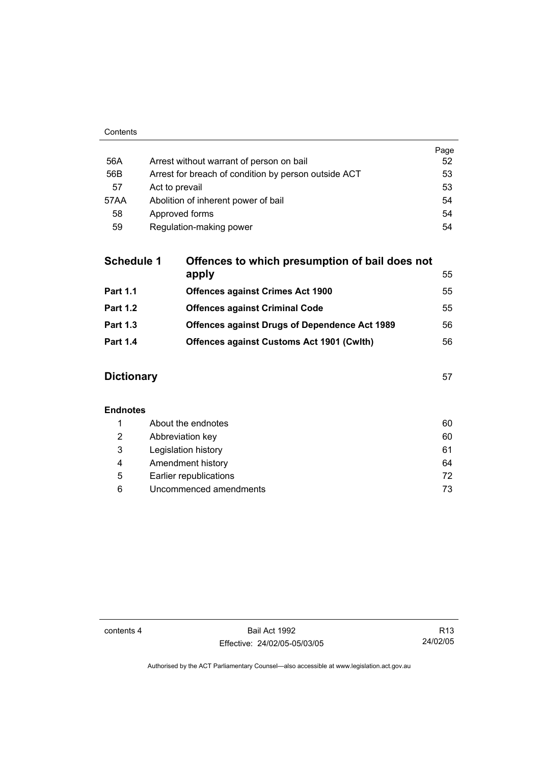|      |                                                      | Page |
|------|------------------------------------------------------|------|
| 56A  | Arrest without warrant of person on bail             | 52   |
| 56B  | Arrest for breach of condition by person outside ACT | 53   |
| 57   | Act to prevail                                       | 53   |
| 57AA | Abolition of inherent power of bail                  | 54   |
| 58   | Approved forms                                       | 54   |
| 59   | Regulation-making power                              | 54   |

| <b>Schedule 1</b> | Offences to which presumption of bail does not       |    |
|-------------------|------------------------------------------------------|----|
|                   | apply                                                | 55 |
| <b>Part 1.1</b>   | <b>Offences against Crimes Act 1900</b>              | 55 |
| <b>Part 1.2</b>   | <b>Offences against Criminal Code</b>                | 55 |
| <b>Part 1.3</b>   | <b>Offences against Drugs of Dependence Act 1989</b> | 56 |
| <b>Part 1.4</b>   | <b>Offences against Customs Act 1901 (Cwith)</b>     | 56 |
|                   |                                                      |    |

# **Dictionary** 57

# **Endnotes**

|   | About the endnotes     | 60  |
|---|------------------------|-----|
| 2 | Abbreviation key       | 60  |
| 3 | Legislation history    | 61  |
| 4 | Amendment history      | 64  |
| 5 | Earlier republications | 72. |
| 6 | Uncommenced amendments | 73  |

contents 4 Bail Act 1992 Effective: 24/02/05-05/03/05

R13 24/02/05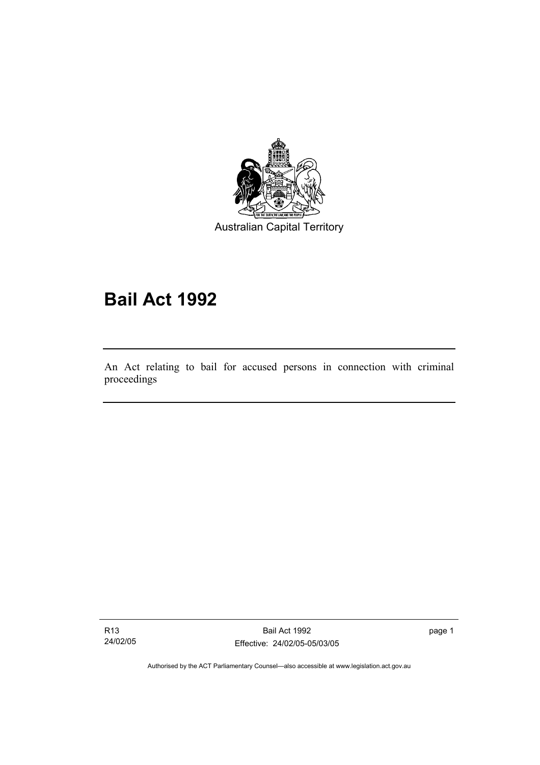

Australian Capital Territory

# **Bail Act 1992**

An Act relating to bail for accused persons in connection with criminal proceedings

R13 24/02/05

I

Bail Act 1992 Effective: 24/02/05-05/03/05 page 1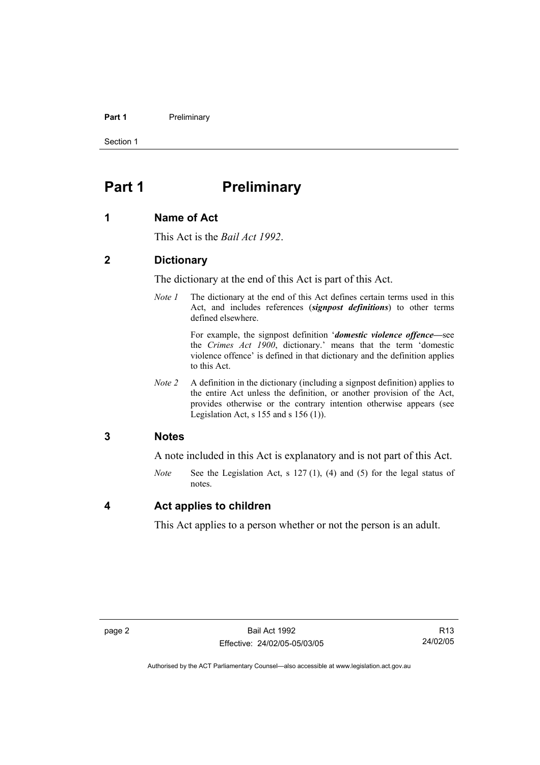#### **Part 1** Preliminary

Section 1

# **Part 1** Preliminary

### **1 Name of Act**

This Act is the *Bail Act 1992*.

### **2 Dictionary**

The dictionary at the end of this Act is part of this Act.

*Note 1* The dictionary at the end of this Act defines certain terms used in this Act, and includes references (*signpost definitions*) to other terms defined elsewhere.

> For example, the signpost definition '*domestic violence offence—*see the *Crimes Act 1900*, dictionary.' means that the term 'domestic violence offence' is defined in that dictionary and the definition applies to this Act.

*Note 2* A definition in the dictionary (including a signpost definition) applies to the entire Act unless the definition, or another provision of the Act, provides otherwise or the contrary intention otherwise appears (see Legislation Act, s  $155$  and s  $156$  (1)).

### **3 Notes**

A note included in this Act is explanatory and is not part of this Act.

*Note* See the Legislation Act, s 127 (1), (4) and (5) for the legal status of notes.

### **4 Act applies to children**

This Act applies to a person whether or not the person is an adult.

R13 24/02/05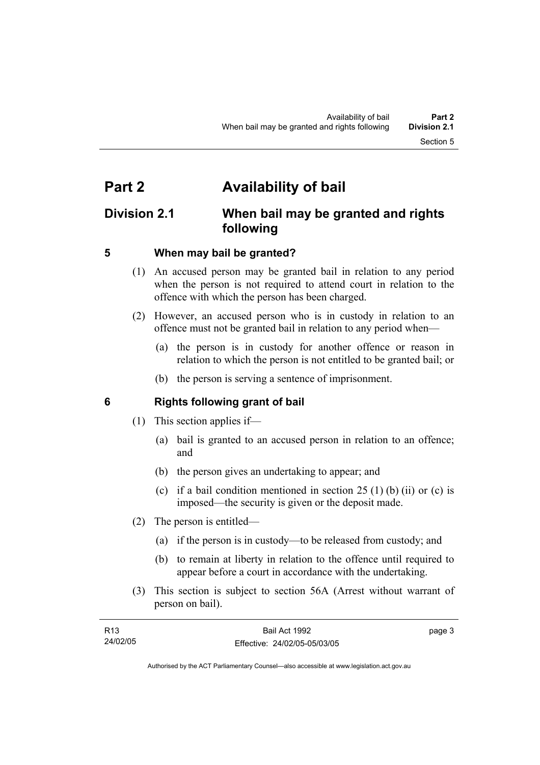# **Part 2 Availability of bail**

# **Division 2.1 When bail may be granted and rights following**

# **5 When may bail be granted?**

- (1) An accused person may be granted bail in relation to any period when the person is not required to attend court in relation to the offence with which the person has been charged.
- (2) However, an accused person who is in custody in relation to an offence must not be granted bail in relation to any period when—
	- (a) the person is in custody for another offence or reason in relation to which the person is not entitled to be granted bail; or
	- (b) the person is serving a sentence of imprisonment.

# **6 Rights following grant of bail**

- (1) This section applies if—
	- (a) bail is granted to an accused person in relation to an offence; and
	- (b) the person gives an undertaking to appear; and
	- (c) if a bail condition mentioned in section  $25(1)$  (b) (ii) or (c) is imposed—the security is given or the deposit made.
- (2) The person is entitled—
	- (a) if the person is in custody—to be released from custody; and
	- (b) to remain at liberty in relation to the offence until required to appear before a court in accordance with the undertaking.
- (3) This section is subject to section 56A (Arrest without warrant of person on bail).

| R <sub>13</sub> | Bail Act 1992                | page 3 |
|-----------------|------------------------------|--------|
| 24/02/05        | Effective: 24/02/05-05/03/05 |        |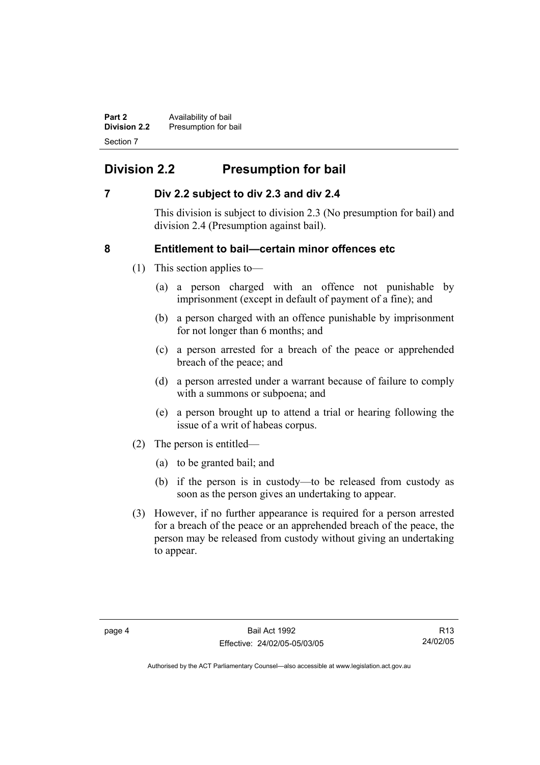**Part 2 Availability of bail Division 2.2** Presumption for bail Section 7

# **Division 2.2 Presumption for bail**

# **7 Div 2.2 subject to div 2.3 and div 2.4**

This division is subject to division 2.3 (No presumption for bail) and division 2.4 (Presumption against bail).

# **8 Entitlement to bail—certain minor offences etc**

- (1) This section applies to—
	- (a) a person charged with an offence not punishable by imprisonment (except in default of payment of a fine); and
	- (b) a person charged with an offence punishable by imprisonment for not longer than 6 months; and
	- (c) a person arrested for a breach of the peace or apprehended breach of the peace; and
	- (d) a person arrested under a warrant because of failure to comply with a summons or subpoena; and
	- (e) a person brought up to attend a trial or hearing following the issue of a writ of habeas corpus.
- (2) The person is entitled—
	- (a) to be granted bail; and
	- (b) if the person is in custody—to be released from custody as soon as the person gives an undertaking to appear.
- (3) However, if no further appearance is required for a person arrested for a breach of the peace or an apprehended breach of the peace, the person may be released from custody without giving an undertaking to appear.

R13 24/02/05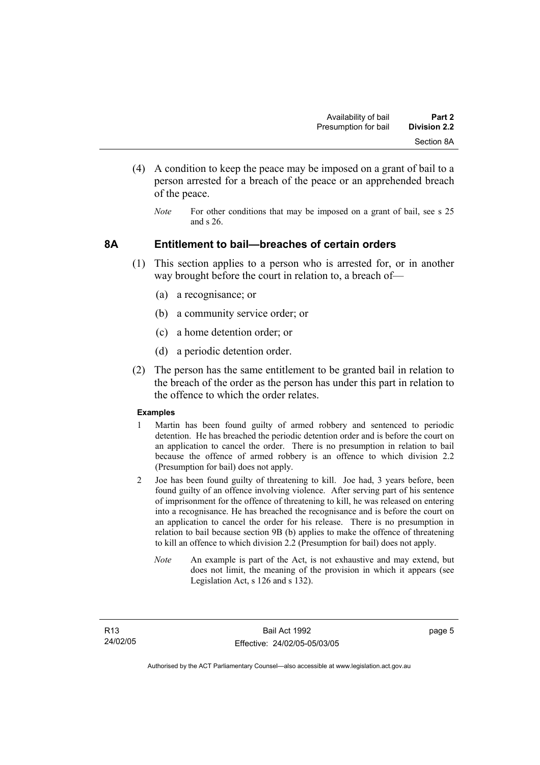- (4) A condition to keep the peace may be imposed on a grant of bail to a person arrested for a breach of the peace or an apprehended breach of the peace.
	- *Note* For other conditions that may be imposed on a grant of bail, see s 25 and s 26.

### **8A Entitlement to bail—breaches of certain orders**

- (1) This section applies to a person who is arrested for, or in another way brought before the court in relation to, a breach of—
	- (a) a recognisance; or
	- (b) a community service order; or
	- (c) a home detention order; or
	- (d) a periodic detention order.
- (2) The person has the same entitlement to be granted bail in relation to the breach of the order as the person has under this part in relation to the offence to which the order relates.

#### **Examples**

- 1 Martin has been found guilty of armed robbery and sentenced to periodic detention. He has breached the periodic detention order and is before the court on an application to cancel the order. There is no presumption in relation to bail because the offence of armed robbery is an offence to which division 2.2 (Presumption for bail) does not apply.
- 2 Joe has been found guilty of threatening to kill. Joe had, 3 years before, been found guilty of an offence involving violence. After serving part of his sentence of imprisonment for the offence of threatening to kill, he was released on entering into a recognisance. He has breached the recognisance and is before the court on an application to cancel the order for his release. There is no presumption in relation to bail because section 9B (b) applies to make the offence of threatening to kill an offence to which division 2.2 (Presumption for bail) does not apply.
	- *Note* An example is part of the Act, is not exhaustive and may extend, but does not limit, the meaning of the provision in which it appears (see Legislation Act, s 126 and s 132).

page 5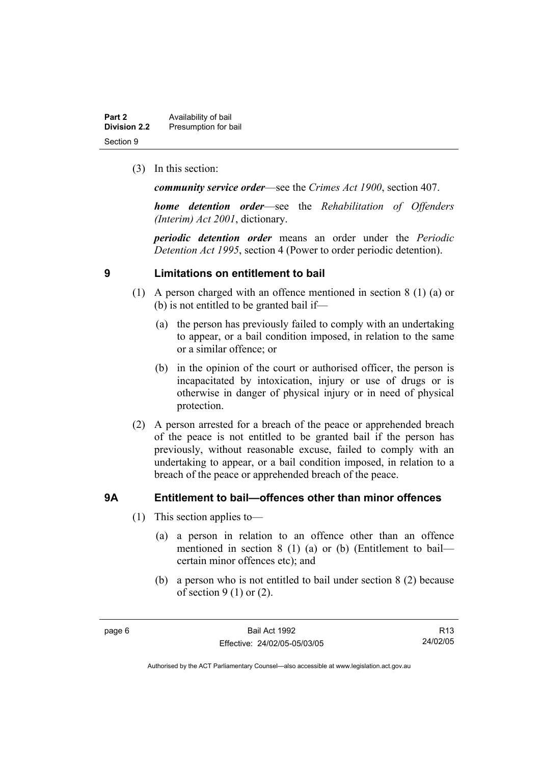| Part 2              | Availability of bail |
|---------------------|----------------------|
| <b>Division 2.2</b> | Presumption for bail |
| Section 9           |                      |

(3) In this section:

*community service order*—see the *Crimes Act 1900*, section 407.

*home detention order*—see the *Rehabilitation of Offenders (Interim) Act 2001*, dictionary.

*periodic detention order* means an order under the *Periodic Detention Act 1995*, section 4 (Power to order periodic detention).

### **9 Limitations on entitlement to bail**

- (1) A person charged with an offence mentioned in section 8 (1) (a) or (b) is not entitled to be granted bail if—
	- (a) the person has previously failed to comply with an undertaking to appear, or a bail condition imposed, in relation to the same or a similar offence; or
	- (b) in the opinion of the court or authorised officer, the person is incapacitated by intoxication, injury or use of drugs or is otherwise in danger of physical injury or in need of physical protection.
- (2) A person arrested for a breach of the peace or apprehended breach of the peace is not entitled to be granted bail if the person has previously, without reasonable excuse, failed to comply with an undertaking to appear, or a bail condition imposed, in relation to a breach of the peace or apprehended breach of the peace.

# **9A Entitlement to bail—offences other than minor offences**

- (1) This section applies to—
	- (a) a person in relation to an offence other than an offence mentioned in section 8 (1) (a) or (b) (Entitlement to bail certain minor offences etc); and
	- (b) a person who is not entitled to bail under section 8 (2) because of section  $9(1)$  or  $(2)$ .

R13 24/02/05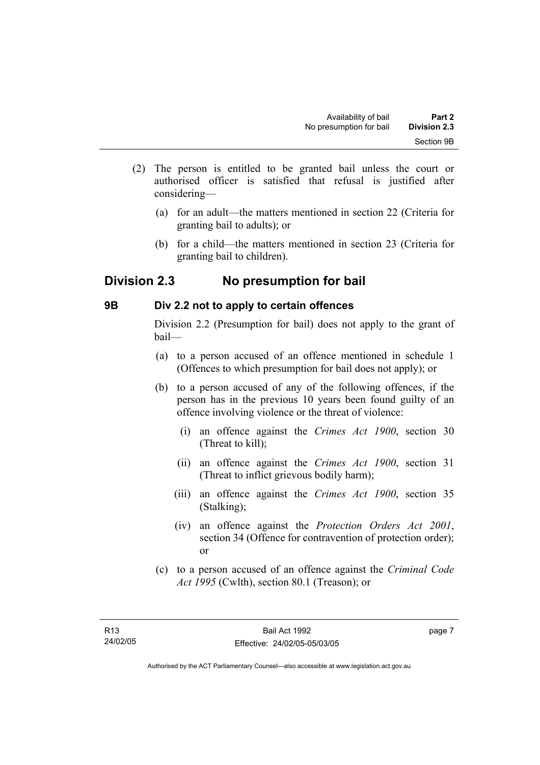- (2) The person is entitled to be granted bail unless the court or authorised officer is satisfied that refusal is justified after considering—
	- (a) for an adult—the matters mentioned in section 22 (Criteria for granting bail to adults); or
	- (b) for a child—the matters mentioned in section 23 (Criteria for granting bail to children).

# **Division 2.3 No presumption for bail**

# **9B Div 2.2 not to apply to certain offences**

Division 2.2 (Presumption for bail) does not apply to the grant of bail—

- (a) to a person accused of an offence mentioned in schedule 1 (Offences to which presumption for bail does not apply); or
- (b) to a person accused of any of the following offences, if the person has in the previous 10 years been found guilty of an offence involving violence or the threat of violence:
	- (i) an offence against the *Crimes Act 1900*, section 30 (Threat to kill);
	- (ii) an offence against the *Crimes Act 1900*, section 31 (Threat to inflict grievous bodily harm);
	- (iii) an offence against the *Crimes Act 1900*, section 35 (Stalking);
	- (iv) an offence against the *Protection Orders Act 2001*, section 34 (Offence for contravention of protection order); or
- (c) to a person accused of an offence against the *Criminal Code Act 1995* (Cwlth), section 80.1 (Treason); or

page 7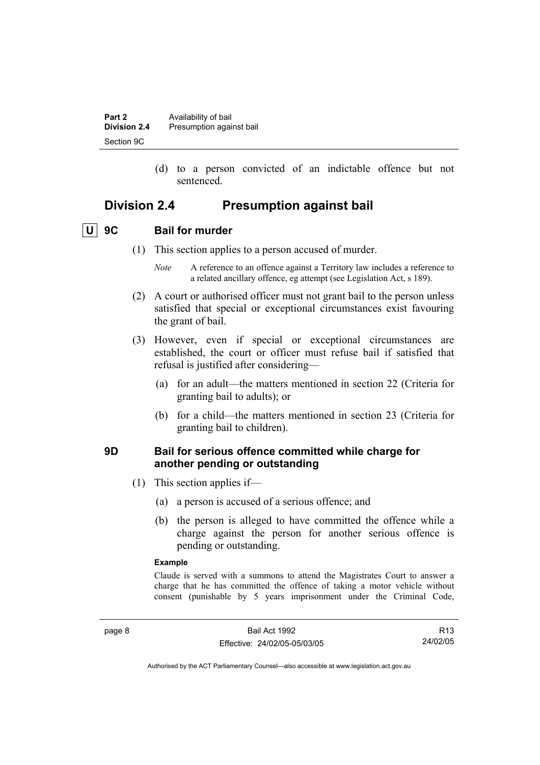| Part 2              | Availability of bail     |
|---------------------|--------------------------|
| <b>Division 2.4</b> | Presumption against bail |
| Section 9C          |                          |

 (d) to a person convicted of an indictable offence but not sentenced.

# **Division 2.4 Presumption against bail**

# **U 9C Bail for murder**

- (1) This section applies to a person accused of murder.
	- *Note* A reference to an offence against a Territory law includes a reference to a related ancillary offence, eg attempt (see Legislation Act, s 189).
- (2) A court or authorised officer must not grant bail to the person unless satisfied that special or exceptional circumstances exist favouring the grant of bail.
- (3) However, even if special or exceptional circumstances are established, the court or officer must refuse bail if satisfied that refusal is justified after considering—
	- (a) for an adult—the matters mentioned in section 22 (Criteria for granting bail to adults); or
	- (b) for a child—the matters mentioned in section 23 (Criteria for granting bail to children).

### **9D Bail for serious offence committed while charge for another pending or outstanding**

- (1) This section applies if—
	- (a) a person is accused of a serious offence; and
	- (b) the person is alleged to have committed the offence while a charge against the person for another serious offence is pending or outstanding.

#### **Example**

Claude is served with a summons to attend the Magistrates Court to answer a charge that he has committed the offence of taking a motor vehicle without consent (punishable by 5 years imprisonment under the Criminal Code,

R13 24/02/05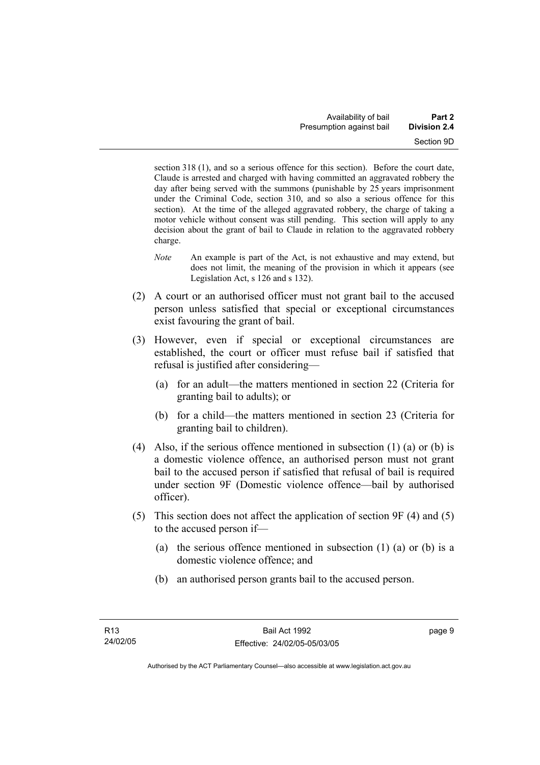section 318 (1), and so a serious offence for this section). Before the court date, Claude is arrested and charged with having committed an aggravated robbery the day after being served with the summons (punishable by 25 years imprisonment under the Criminal Code, section 310, and so also a serious offence for this section). At the time of the alleged aggravated robbery, the charge of taking a motor vehicle without consent was still pending. This section will apply to any decision about the grant of bail to Claude in relation to the aggravated robbery charge.

- *Note* An example is part of the Act, is not exhaustive and may extend, but does not limit, the meaning of the provision in which it appears (see Legislation Act, s 126 and s 132).
- (2) A court or an authorised officer must not grant bail to the accused person unless satisfied that special or exceptional circumstances exist favouring the grant of bail.
- (3) However, even if special or exceptional circumstances are established, the court or officer must refuse bail if satisfied that refusal is justified after considering—
	- (a) for an adult—the matters mentioned in section 22 (Criteria for granting bail to adults); or
	- (b) for a child—the matters mentioned in section 23 (Criteria for granting bail to children).
- (4) Also, if the serious offence mentioned in subsection (1) (a) or (b) is a domestic violence offence, an authorised person must not grant bail to the accused person if satisfied that refusal of bail is required under section 9F (Domestic violence offence—bail by authorised officer).
- (5) This section does not affect the application of section 9F (4) and (5) to the accused person if—
	- (a) the serious offence mentioned in subsection (1) (a) or (b) is a domestic violence offence; and
	- (b) an authorised person grants bail to the accused person.

page 9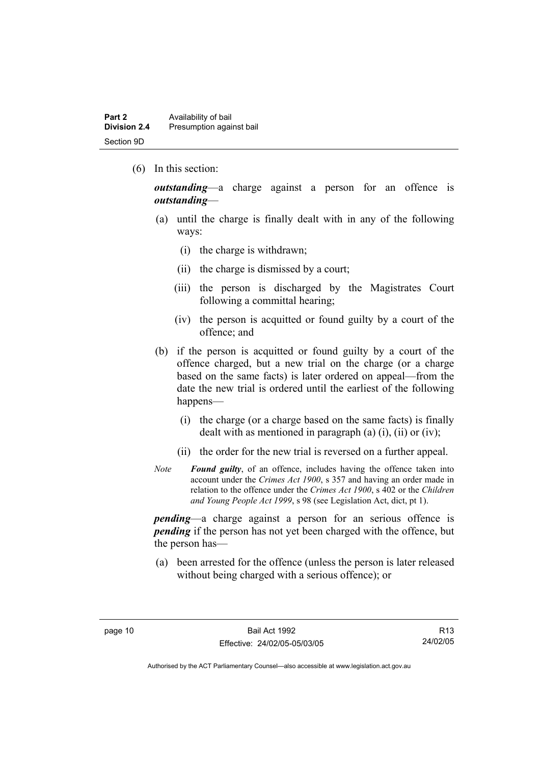(6) In this section:

*outstanding*—a charge against a person for an offence is *outstanding*—

- (a) until the charge is finally dealt with in any of the following ways:
	- (i) the charge is withdrawn;
	- (ii) the charge is dismissed by a court;
	- (iii) the person is discharged by the Magistrates Court following a committal hearing;
	- (iv) the person is acquitted or found guilty by a court of the offence; and
- (b) if the person is acquitted or found guilty by a court of the offence charged, but a new trial on the charge (or a charge based on the same facts) is later ordered on appeal—from the date the new trial is ordered until the earliest of the following happens—
	- (i) the charge (or a charge based on the same facts) is finally dealt with as mentioned in paragraph (a)  $(i)$ ,  $(ii)$  or  $(iv)$ ;
	- (ii) the order for the new trial is reversed on a further appeal.
- *Note Found guilty*, of an offence, includes having the offence taken into account under the *Crimes Act 1900*, s 357 and having an order made in relation to the offence under the *Crimes Act 1900*, s 402 or the *Children and Young People Act 1999*, s 98 (see Legislation Act, dict, pt 1).

*pending*—a charge against a person for an serious offence is *pending* if the person has not yet been charged with the offence, but the person has—

 (a) been arrested for the offence (unless the person is later released without being charged with a serious offence); or

R13 24/02/05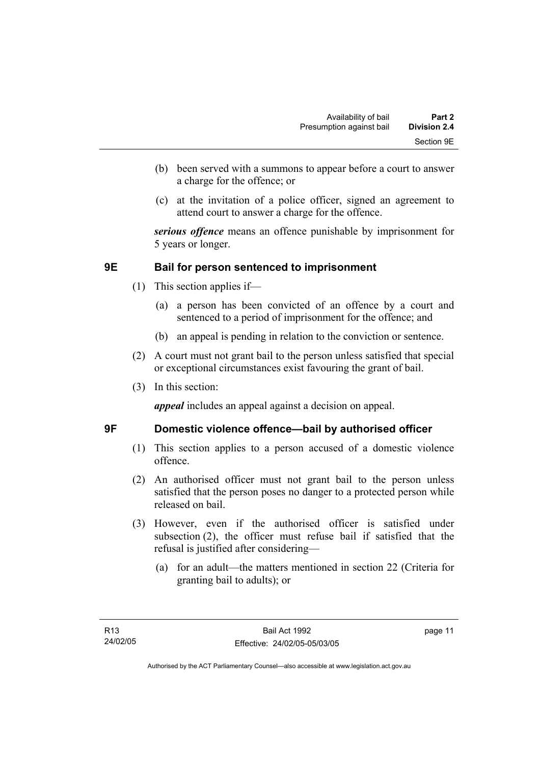- (b) been served with a summons to appear before a court to answer a charge for the offence; or
- (c) at the invitation of a police officer, signed an agreement to attend court to answer a charge for the offence.

*serious offence* means an offence punishable by imprisonment for 5 years or longer.

# **9E Bail for person sentenced to imprisonment**

- (1) This section applies if—
	- (a) a person has been convicted of an offence by a court and sentenced to a period of imprisonment for the offence; and
	- (b) an appeal is pending in relation to the conviction or sentence.
- (2) A court must not grant bail to the person unless satisfied that special or exceptional circumstances exist favouring the grant of bail.
- (3) In this section:

*appeal* includes an appeal against a decision on appeal.

# **9F Domestic violence offence—bail by authorised officer**

- (1) This section applies to a person accused of a domestic violence offence.
- (2) An authorised officer must not grant bail to the person unless satisfied that the person poses no danger to a protected person while released on bail.
- (3) However, even if the authorised officer is satisfied under subsection (2), the officer must refuse bail if satisfied that the refusal is justified after considering—
	- (a) for an adult—the matters mentioned in section 22 (Criteria for granting bail to adults); or

page 11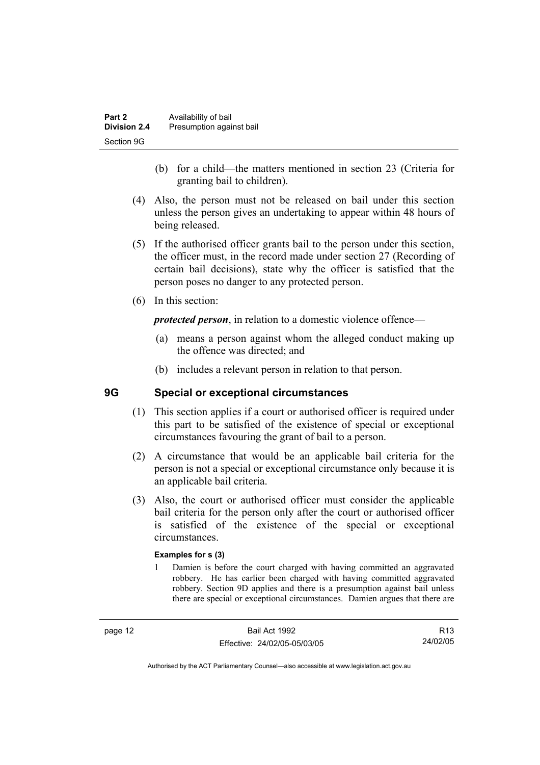| Part 2              | Availability of bail     |
|---------------------|--------------------------|
| <b>Division 2.4</b> | Presumption against bail |
| Section 9G          |                          |

- (b) for a child—the matters mentioned in section 23 (Criteria for granting bail to children).
- (4) Also, the person must not be released on bail under this section unless the person gives an undertaking to appear within 48 hours of being released.
- (5) If the authorised officer grants bail to the person under this section, the officer must, in the record made under section 27 (Recording of certain bail decisions), state why the officer is satisfied that the person poses no danger to any protected person.
- (6) In this section:

*protected person*, in relation to a domestic violence offence—

- (a) means a person against whom the alleged conduct making up the offence was directed; and
- (b) includes a relevant person in relation to that person.

# **9G Special or exceptional circumstances**

- (1) This section applies if a court or authorised officer is required under this part to be satisfied of the existence of special or exceptional circumstances favouring the grant of bail to a person.
- (2) A circumstance that would be an applicable bail criteria for the person is not a special or exceptional circumstance only because it is an applicable bail criteria.
- (3) Also, the court or authorised officer must consider the applicable bail criteria for the person only after the court or authorised officer is satisfied of the existence of the special or exceptional circumstances.

#### **Examples for s (3)**

1 Damien is before the court charged with having committed an aggravated robbery. He has earlier been charged with having committed aggravated robbery. Section 9D applies and there is a presumption against bail unless there are special or exceptional circumstances. Damien argues that there are

R13 24/02/05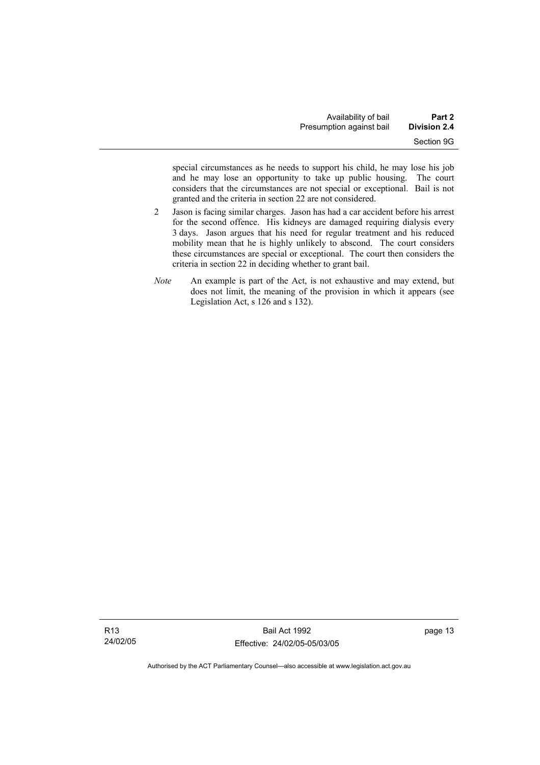special circumstances as he needs to support his child, he may lose his job and he may lose an opportunity to take up public housing. The court considers that the circumstances are not special or exceptional. Bail is not granted and the criteria in section 22 are not considered.

- 2 Jason is facing similar charges. Jason has had a car accident before his arrest for the second offence. His kidneys are damaged requiring dialysis every 3 days. Jason argues that his need for regular treatment and his reduced mobility mean that he is highly unlikely to abscond. The court considers these circumstances are special or exceptional. The court then considers the criteria in section 22 in deciding whether to grant bail.
- *Note* An example is part of the Act, is not exhaustive and may extend, but does not limit, the meaning of the provision in which it appears (see Legislation Act, s 126 and s 132).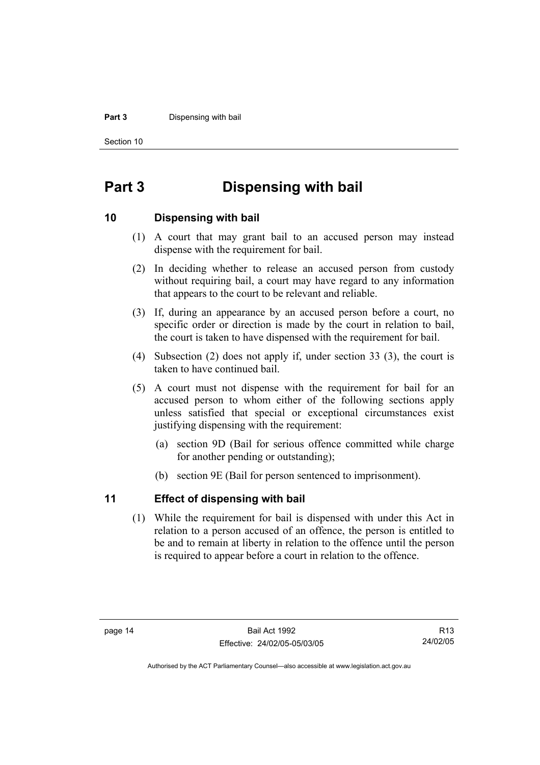#### **Part 3** Dispensing with bail

Section 10

# **Part 3 Dispensing with bail**

### **10 Dispensing with bail**

- (1) A court that may grant bail to an accused person may instead dispense with the requirement for bail.
- (2) In deciding whether to release an accused person from custody without requiring bail, a court may have regard to any information that appears to the court to be relevant and reliable.
- (3) If, during an appearance by an accused person before a court, no specific order or direction is made by the court in relation to bail, the court is taken to have dispensed with the requirement for bail.
- (4) Subsection (2) does not apply if, under section 33 (3), the court is taken to have continued bail.
- (5) A court must not dispense with the requirement for bail for an accused person to whom either of the following sections apply unless satisfied that special or exceptional circumstances exist justifying dispensing with the requirement:
	- (a) section 9D (Bail for serious offence committed while charge for another pending or outstanding);
	- (b) section 9E (Bail for person sentenced to imprisonment).

# **11 Effect of dispensing with bail**

 (1) While the requirement for bail is dispensed with under this Act in relation to a person accused of an offence, the person is entitled to be and to remain at liberty in relation to the offence until the person is required to appear before a court in relation to the offence.

R13 24/02/05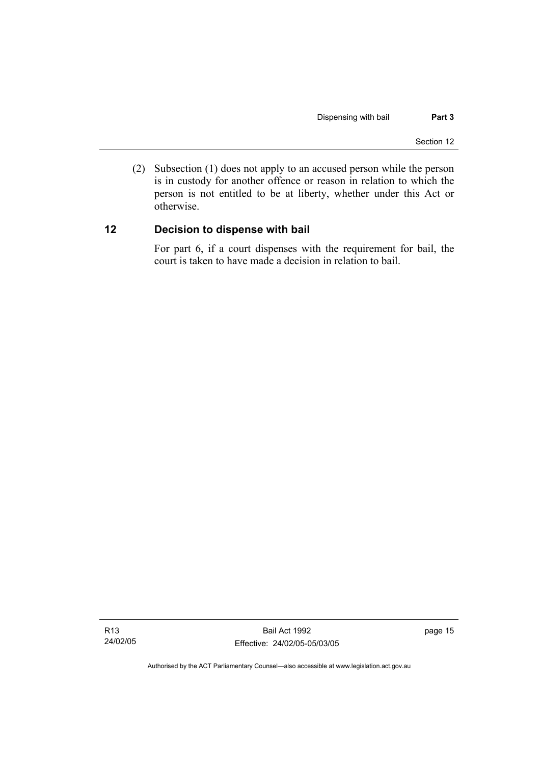(2) Subsection (1) does not apply to an accused person while the person is in custody for another offence or reason in relation to which the person is not entitled to be at liberty, whether under this Act or otherwise.

# **12 Decision to dispense with bail**

For part 6, if a court dispenses with the requirement for bail, the court is taken to have made a decision in relation to bail.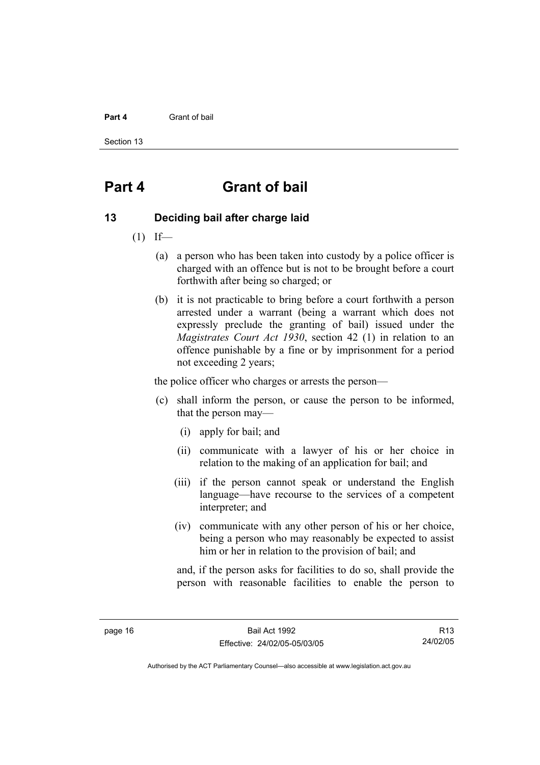#### **Part 4** Grant of bail

Section 13

# **Part 4 Grant of bail**

### **13 Deciding bail after charge laid**

- $(1)$  If—
	- (a) a person who has been taken into custody by a police officer is charged with an offence but is not to be brought before a court forthwith after being so charged; or
	- (b) it is not practicable to bring before a court forthwith a person arrested under a warrant (being a warrant which does not expressly preclude the granting of bail) issued under the *Magistrates Court Act 1930*, section 42 (1) in relation to an offence punishable by a fine or by imprisonment for a period not exceeding 2 years;

the police officer who charges or arrests the person—

- (c) shall inform the person, or cause the person to be informed, that the person may—
	- (i) apply for bail; and
	- (ii) communicate with a lawyer of his or her choice in relation to the making of an application for bail; and
	- (iii) if the person cannot speak or understand the English language—have recourse to the services of a competent interpreter; and
	- (iv) communicate with any other person of his or her choice, being a person who may reasonably be expected to assist him or her in relation to the provision of bail; and

and, if the person asks for facilities to do so, shall provide the person with reasonable facilities to enable the person to

R13 24/02/05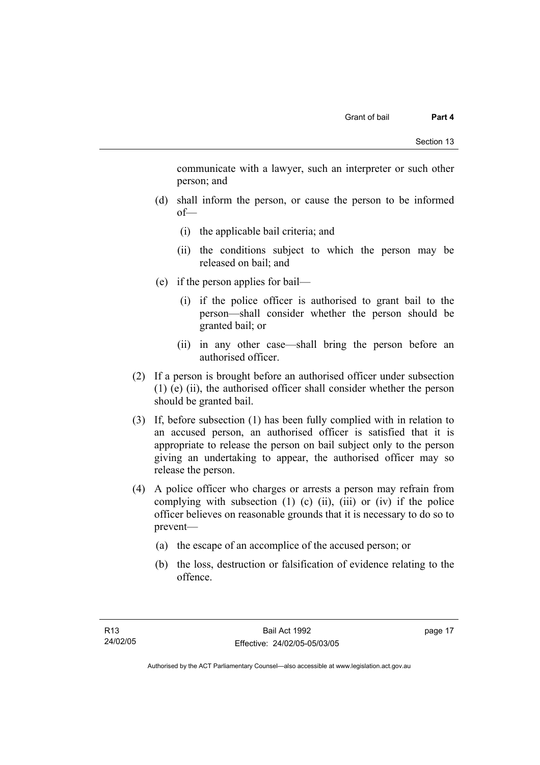communicate with a lawyer, such an interpreter or such other person; and

- (d) shall inform the person, or cause the person to be informed of—
	- (i) the applicable bail criteria; and
	- (ii) the conditions subject to which the person may be released on bail; and
- (e) if the person applies for bail—
	- (i) if the police officer is authorised to grant bail to the person—shall consider whether the person should be granted bail; or
	- (ii) in any other case—shall bring the person before an authorised officer.
- (2) If a person is brought before an authorised officer under subsection (1) (e) (ii), the authorised officer shall consider whether the person should be granted bail.
- (3) If, before subsection (1) has been fully complied with in relation to an accused person, an authorised officer is satisfied that it is appropriate to release the person on bail subject only to the person giving an undertaking to appear, the authorised officer may so release the person.
- (4) A police officer who charges or arrests a person may refrain from complying with subsection  $(1)$   $(c)$   $(ii)$ ,  $(iii)$  or  $(iv)$  if the police officer believes on reasonable grounds that it is necessary to do so to prevent—
	- (a) the escape of an accomplice of the accused person; or
	- (b) the loss, destruction or falsification of evidence relating to the offence.

page 17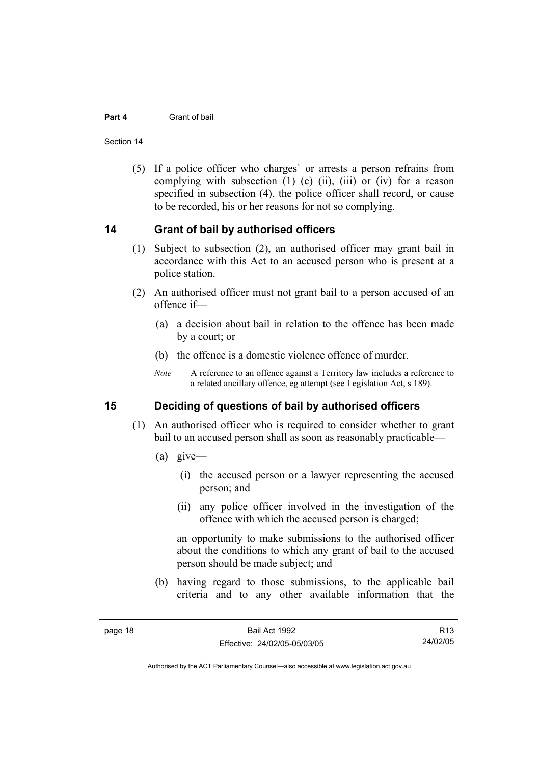#### **Part 4** Grant of bail

Section 14

 (5) If a police officer who charges` or arrests a person refrains from complying with subsection  $(1)$   $(c)$   $(ii)$ ,  $(iii)$  or  $(iv)$  for a reason specified in subsection (4), the police officer shall record, or cause to be recorded, his or her reasons for not so complying.

### **14 Grant of bail by authorised officers**

- (1) Subject to subsection (2), an authorised officer may grant bail in accordance with this Act to an accused person who is present at a police station.
- (2) An authorised officer must not grant bail to a person accused of an offence if—
	- (a) a decision about bail in relation to the offence has been made by a court; or
	- (b) the offence is a domestic violence offence of murder.
	- *Note* A reference to an offence against a Territory law includes a reference to a related ancillary offence, eg attempt (see Legislation Act, s 189).

# **15 Deciding of questions of bail by authorised officers**

- (1) An authorised officer who is required to consider whether to grant bail to an accused person shall as soon as reasonably practicable—
	- (a) give—
		- (i) the accused person or a lawyer representing the accused person; and
		- (ii) any police officer involved in the investigation of the offence with which the accused person is charged;

an opportunity to make submissions to the authorised officer about the conditions to which any grant of bail to the accused person should be made subject; and

 (b) having regard to those submissions, to the applicable bail criteria and to any other available information that the

R13 24/02/05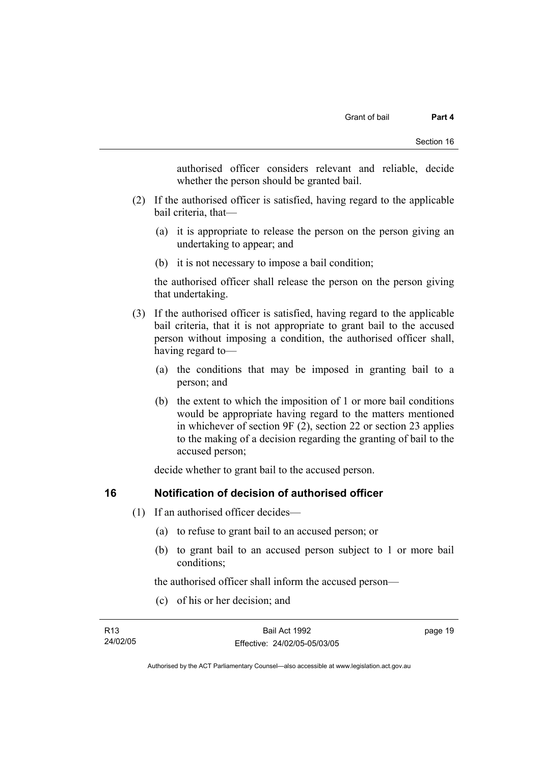authorised officer considers relevant and reliable, decide whether the person should be granted bail.

- (2) If the authorised officer is satisfied, having regard to the applicable bail criteria, that—
	- (a) it is appropriate to release the person on the person giving an undertaking to appear; and
	- (b) it is not necessary to impose a bail condition;

the authorised officer shall release the person on the person giving that undertaking.

- (3) If the authorised officer is satisfied, having regard to the applicable bail criteria, that it is not appropriate to grant bail to the accused person without imposing a condition, the authorised officer shall, having regard to—
	- (a) the conditions that may be imposed in granting bail to a person; and
	- (b) the extent to which the imposition of 1 or more bail conditions would be appropriate having regard to the matters mentioned in whichever of section 9F (2), section 22 or section 23 applies to the making of a decision regarding the granting of bail to the accused person;

decide whether to grant bail to the accused person.

# **16 Notification of decision of authorised officer**

- (1) If an authorised officer decides—
	- (a) to refuse to grant bail to an accused person; or
	- (b) to grant bail to an accused person subject to 1 or more bail conditions;

the authorised officer shall inform the accused person—

(c) of his or her decision; and

| R13      | Bail Act 1992                | page 19 |
|----------|------------------------------|---------|
| 24/02/05 | Effective: 24/02/05-05/03/05 |         |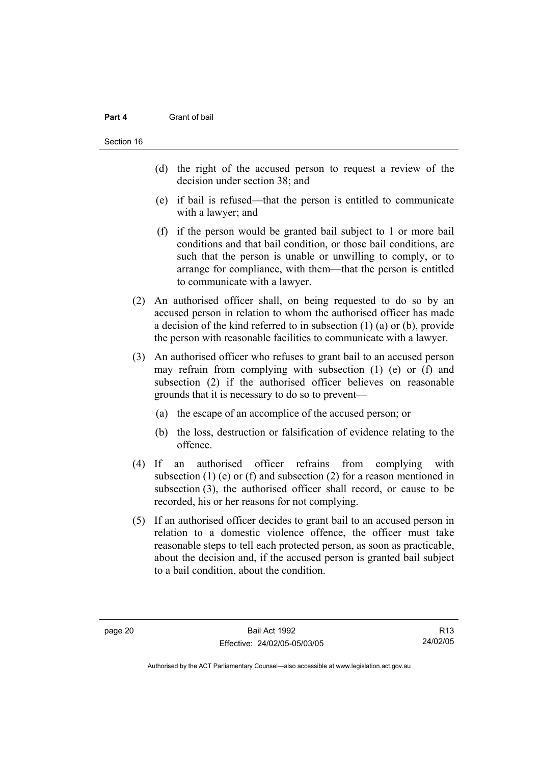#### **Part 4** Grant of bail

- (d) the right of the accused person to request a review of the decision under section 38; and
- (e) if bail is refused—that the person is entitled to communicate with a lawyer; and
- (f) if the person would be granted bail subject to 1 or more bail conditions and that bail condition, or those bail conditions, are such that the person is unable or unwilling to comply, or to arrange for compliance, with them—that the person is entitled to communicate with a lawyer.
- (2) An authorised officer shall, on being requested to do so by an accused person in relation to whom the authorised officer has made a decision of the kind referred to in subsection (1) (a) or (b), provide the person with reasonable facilities to communicate with a lawyer.
- (3) An authorised officer who refuses to grant bail to an accused person may refrain from complying with subsection (1) (e) or (f) and subsection (2) if the authorised officer believes on reasonable grounds that it is necessary to do so to prevent—
	- (a) the escape of an accomplice of the accused person; or
	- (b) the loss, destruction or falsification of evidence relating to the offence.
- (4) If an authorised officer refrains from complying with subsection (1) (e) or (f) and subsection (2) for a reason mentioned in subsection (3), the authorised officer shall record, or cause to be recorded, his or her reasons for not complying.
- (5) If an authorised officer decides to grant bail to an accused person in relation to a domestic violence offence, the officer must take reasonable steps to tell each protected person, as soon as practicable, about the decision and, if the accused person is granted bail subject to a bail condition, about the condition.

R13 24/02/05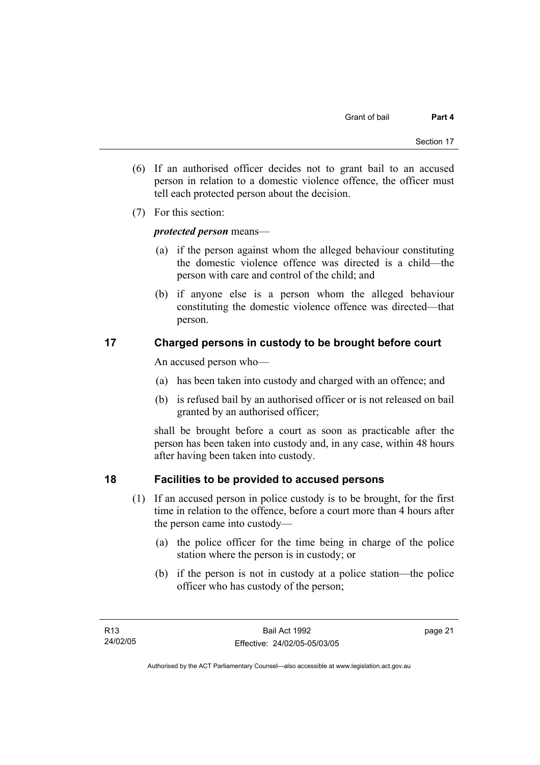- (6) If an authorised officer decides not to grant bail to an accused person in relation to a domestic violence offence, the officer must tell each protected person about the decision.
- (7) For this section:

# *protected person* means—

- (a) if the person against whom the alleged behaviour constituting the domestic violence offence was directed is a child—the person with care and control of the child; and
- (b) if anyone else is a person whom the alleged behaviour constituting the domestic violence offence was directed—that person.

# **17 Charged persons in custody to be brought before court**

An accused person who—

- (a) has been taken into custody and charged with an offence; and
- (b) is refused bail by an authorised officer or is not released on bail granted by an authorised officer;

shall be brought before a court as soon as practicable after the person has been taken into custody and, in any case, within 48 hours after having been taken into custody.

# **18 Facilities to be provided to accused persons**

- (1) If an accused person in police custody is to be brought, for the first time in relation to the offence, before a court more than 4 hours after the person came into custody—
	- (a) the police officer for the time being in charge of the police station where the person is in custody; or
	- (b) if the person is not in custody at a police station—the police officer who has custody of the person;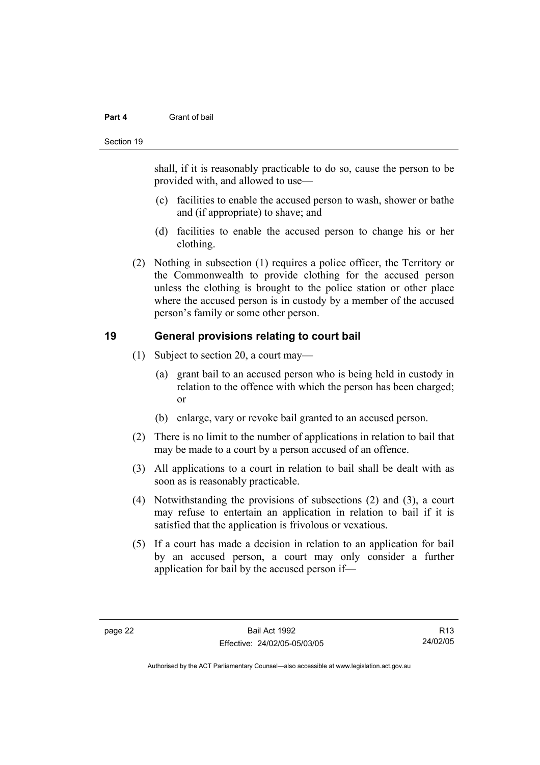#### **Part 4** Grant of bail

#### Section 19

shall, if it is reasonably practicable to do so, cause the person to be provided with, and allowed to use—

- (c) facilities to enable the accused person to wash, shower or bathe and (if appropriate) to shave; and
- (d) facilities to enable the accused person to change his or her clothing.
- (2) Nothing in subsection (1) requires a police officer, the Territory or the Commonwealth to provide clothing for the accused person unless the clothing is brought to the police station or other place where the accused person is in custody by a member of the accused person's family or some other person.

# **19 General provisions relating to court bail**

- (1) Subject to section 20, a court may—
	- (a) grant bail to an accused person who is being held in custody in relation to the offence with which the person has been charged; or
	- (b) enlarge, vary or revoke bail granted to an accused person.
- (2) There is no limit to the number of applications in relation to bail that may be made to a court by a person accused of an offence.
- (3) All applications to a court in relation to bail shall be dealt with as soon as is reasonably practicable.
- (4) Notwithstanding the provisions of subsections (2) and (3), a court may refuse to entertain an application in relation to bail if it is satisfied that the application is frivolous or vexatious.
- (5) If a court has made a decision in relation to an application for bail by an accused person, a court may only consider a further application for bail by the accused person if—

R13 24/02/05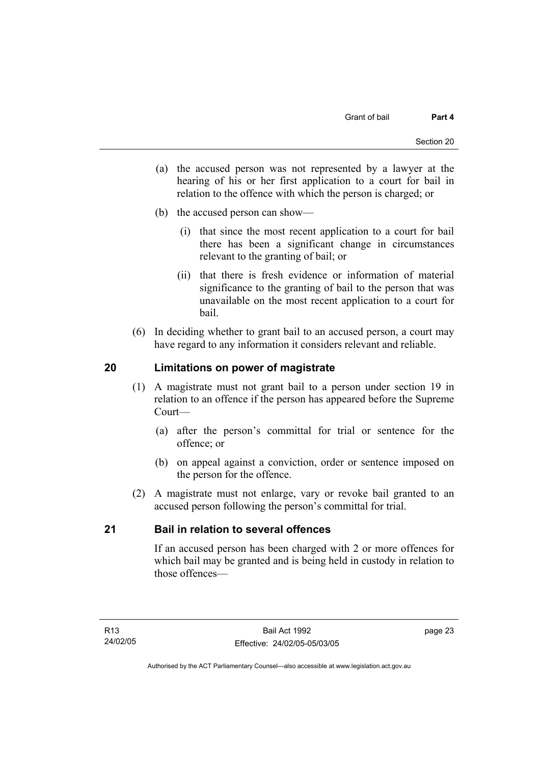- (a) the accused person was not represented by a lawyer at the hearing of his or her first application to a court for bail in relation to the offence with which the person is charged; or
- (b) the accused person can show—
	- (i) that since the most recent application to a court for bail there has been a significant change in circumstances relevant to the granting of bail; or
	- (ii) that there is fresh evidence or information of material significance to the granting of bail to the person that was unavailable on the most recent application to a court for bail.
- (6) In deciding whether to grant bail to an accused person, a court may have regard to any information it considers relevant and reliable.

# **20 Limitations on power of magistrate**

- (1) A magistrate must not grant bail to a person under section 19 in relation to an offence if the person has appeared before the Supreme Court—
	- (a) after the person's committal for trial or sentence for the offence; or
	- (b) on appeal against a conviction, order or sentence imposed on the person for the offence.
- (2) A magistrate must not enlarge, vary or revoke bail granted to an accused person following the person's committal for trial.

# **21 Bail in relation to several offences**

If an accused person has been charged with 2 or more offences for which bail may be granted and is being held in custody in relation to those offences—

page 23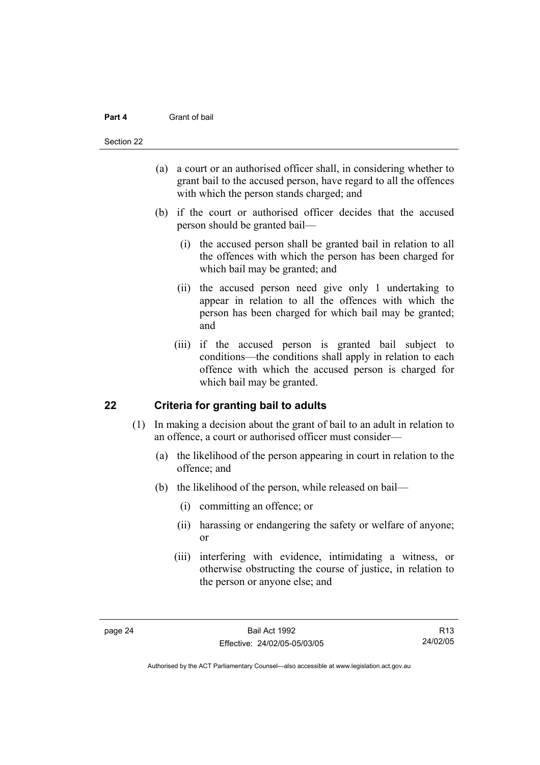#### **Part 4** Grant of bail

#### Section 22

- (a) a court or an authorised officer shall, in considering whether to grant bail to the accused person, have regard to all the offences with which the person stands charged; and
- (b) if the court or authorised officer decides that the accused person should be granted bail—
	- (i) the accused person shall be granted bail in relation to all the offences with which the person has been charged for which bail may be granted; and
	- (ii) the accused person need give only 1 undertaking to appear in relation to all the offences with which the person has been charged for which bail may be granted; and
	- (iii) if the accused person is granted bail subject to conditions—the conditions shall apply in relation to each offence with which the accused person is charged for which bail may be granted.

# **22 Criteria for granting bail to adults**

- (1) In making a decision about the grant of bail to an adult in relation to an offence, a court or authorised officer must consider—
	- (a) the likelihood of the person appearing in court in relation to the offence; and
	- (b) the likelihood of the person, while released on bail—
		- (i) committing an offence; or
		- (ii) harassing or endangering the safety or welfare of anyone; or
		- (iii) interfering with evidence, intimidating a witness, or otherwise obstructing the course of justice, in relation to the person or anyone else; and

R13 24/02/05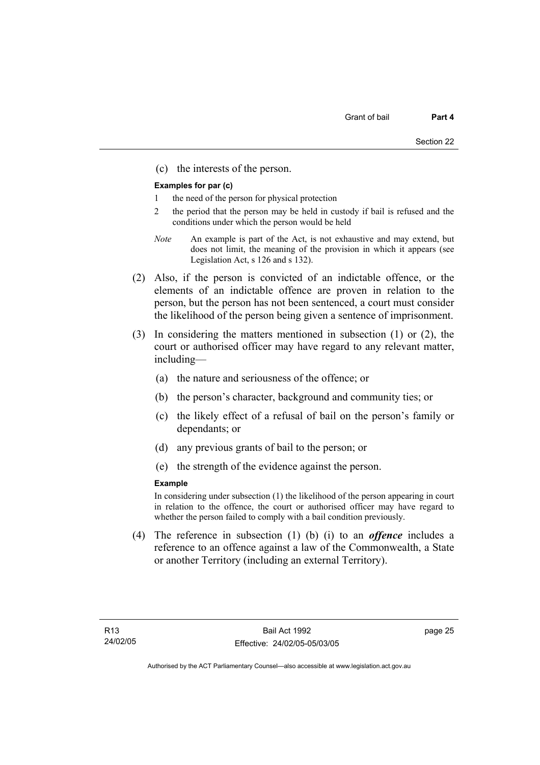(c) the interests of the person.

#### **Examples for par (c)**

- 1 the need of the person for physical protection
- 2 the period that the person may be held in custody if bail is refused and the conditions under which the person would be held
- *Note* An example is part of the Act, is not exhaustive and may extend, but does not limit, the meaning of the provision in which it appears (see Legislation Act, s 126 and s 132).
- (2) Also, if the person is convicted of an indictable offence, or the elements of an indictable offence are proven in relation to the person, but the person has not been sentenced, a court must consider the likelihood of the person being given a sentence of imprisonment.
- (3) In considering the matters mentioned in subsection (1) or (2), the court or authorised officer may have regard to any relevant matter, including—
	- (a) the nature and seriousness of the offence; or
	- (b) the person's character, background and community ties; or
	- (c) the likely effect of a refusal of bail on the person's family or dependants; or
	- (d) any previous grants of bail to the person; or
	- (e) the strength of the evidence against the person.

#### **Example**

In considering under subsection (1) the likelihood of the person appearing in court in relation to the offence, the court or authorised officer may have regard to whether the person failed to comply with a bail condition previously.

 (4) The reference in subsection (1) (b) (i) to an *offence* includes a reference to an offence against a law of the Commonwealth, a State or another Territory (including an external Territory).

page 25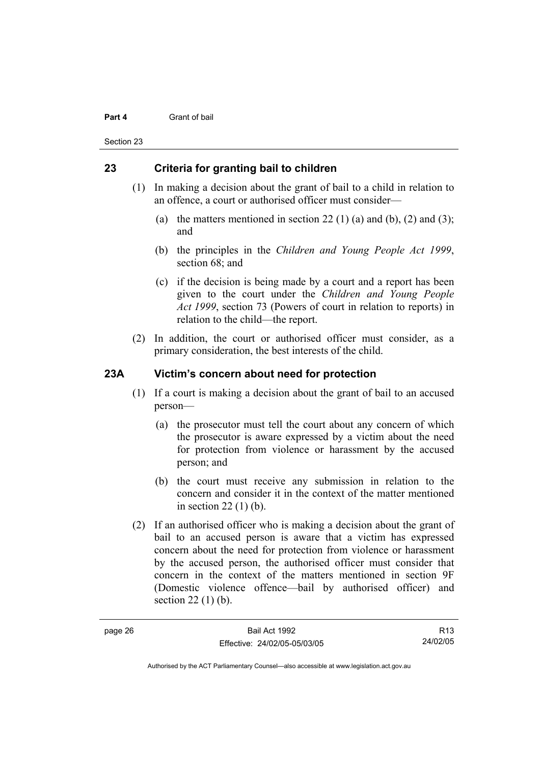#### **Part 4** Grant of bail

Section 23

# **23 Criteria for granting bail to children**

- (1) In making a decision about the grant of bail to a child in relation to an offence, a court or authorised officer must consider—
	- (a) the matters mentioned in section 22 (1) (a) and (b), (2) and (3); and
	- (b) the principles in the *Children and Young People Act 1999*, section 68; and
	- (c) if the decision is being made by a court and a report has been given to the court under the *Children and Young People Act 1999*, section 73 (Powers of court in relation to reports) in relation to the child—the report.
- (2) In addition, the court or authorised officer must consider, as a primary consideration, the best interests of the child.

# **23A Victim's concern about need for protection**

- (1) If a court is making a decision about the grant of bail to an accused person—
	- (a) the prosecutor must tell the court about any concern of which the prosecutor is aware expressed by a victim about the need for protection from violence or harassment by the accused person; and
	- (b) the court must receive any submission in relation to the concern and consider it in the context of the matter mentioned in section 22 (1) (b).
- (2) If an authorised officer who is making a decision about the grant of bail to an accused person is aware that a victim has expressed concern about the need for protection from violence or harassment by the accused person, the authorised officer must consider that concern in the context of the matters mentioned in section 9F (Domestic violence offence—bail by authorised officer) and section 22 (1) (b).

R13 24/02/05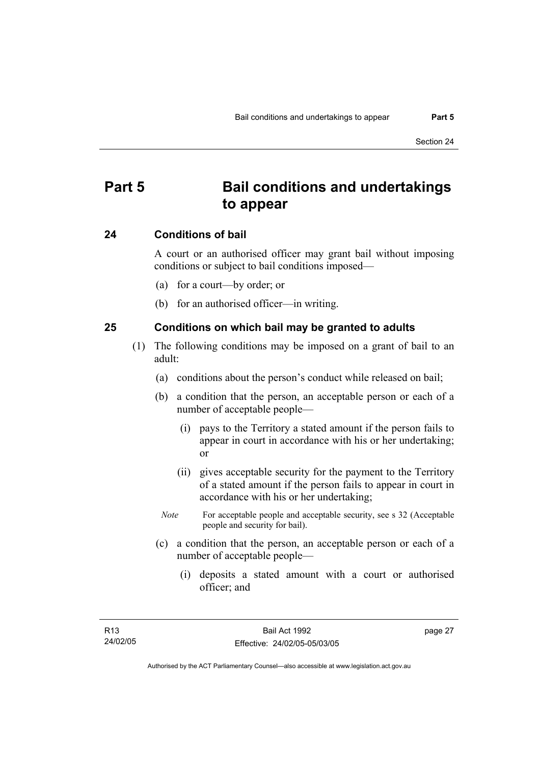# **Part 5 Bail conditions and undertakings to appear**

### **24 Conditions of bail**

A court or an authorised officer may grant bail without imposing conditions or subject to bail conditions imposed—

- (a) for a court—by order; or
- (b) for an authorised officer—in writing.

### **25 Conditions on which bail may be granted to adults**

- (1) The following conditions may be imposed on a grant of bail to an adult:
	- (a) conditions about the person's conduct while released on bail;
	- (b) a condition that the person, an acceptable person or each of a number of acceptable people—
		- (i) pays to the Territory a stated amount if the person fails to appear in court in accordance with his or her undertaking; or
		- (ii) gives acceptable security for the payment to the Territory of a stated amount if the person fails to appear in court in accordance with his or her undertaking;
		- *Note* For acceptable people and acceptable security, see s 32 (Acceptable people and security for bail).
	- (c) a condition that the person, an acceptable person or each of a number of acceptable people—
		- (i) deposits a stated amount with a court or authorised officer; and

page 27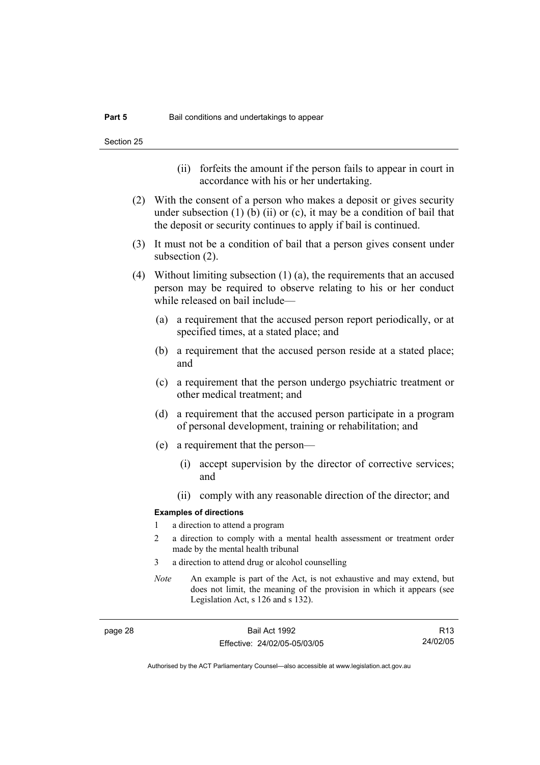- (ii) forfeits the amount if the person fails to appear in court in accordance with his or her undertaking.
- (2) With the consent of a person who makes a deposit or gives security under subsection  $(1)$  (b)  $(ii)$  or  $(c)$ , it may be a condition of bail that the deposit or security continues to apply if bail is continued.
- (3) It must not be a condition of bail that a person gives consent under subsection (2).
- (4) Without limiting subsection (1) (a), the requirements that an accused person may be required to observe relating to his or her conduct while released on bail include—
	- (a) a requirement that the accused person report periodically, or at specified times, at a stated place; and
	- (b) a requirement that the accused person reside at a stated place; and
	- (c) a requirement that the person undergo psychiatric treatment or other medical treatment; and
	- (d) a requirement that the accused person participate in a program of personal development, training or rehabilitation; and
	- (e) a requirement that the person—
		- (i) accept supervision by the director of corrective services; and
		- (ii) comply with any reasonable direction of the director; and

#### **Examples of directions**

- 1 a direction to attend a program
- 2 a direction to comply with a mental health assessment or treatment order made by the mental health tribunal
- 3 a direction to attend drug or alcohol counselling
- *Note* An example is part of the Act, is not exhaustive and may extend, but does not limit, the meaning of the provision in which it appears (see Legislation Act, s 126 and s 132).

page 28 Bail Act 1992 Effective: 24/02/05-05/03/05

R13 24/02/05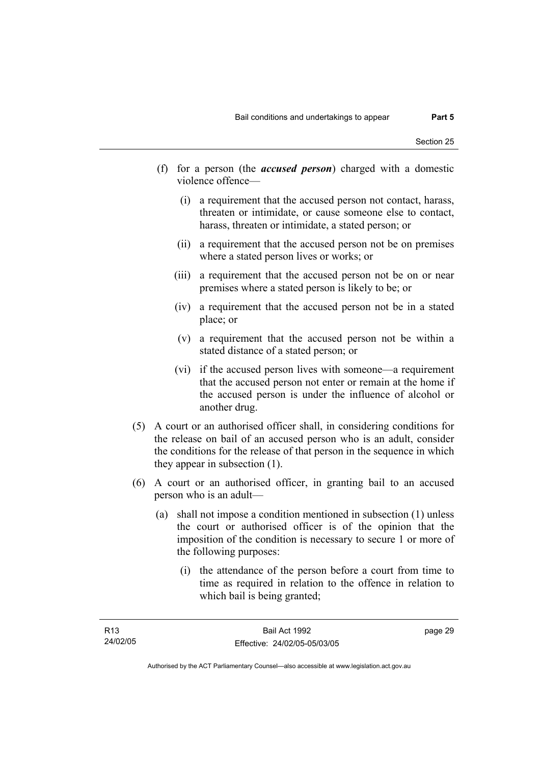- (f) for a person (the *accused person*) charged with a domestic violence offence—
	- (i) a requirement that the accused person not contact, harass, threaten or intimidate, or cause someone else to contact, harass, threaten or intimidate, a stated person; or
	- (ii) a requirement that the accused person not be on premises where a stated person lives or works; or
	- (iii) a requirement that the accused person not be on or near premises where a stated person is likely to be; or
	- (iv) a requirement that the accused person not be in a stated place; or
	- (v) a requirement that the accused person not be within a stated distance of a stated person; or
	- (vi) if the accused person lives with someone—a requirement that the accused person not enter or remain at the home if the accused person is under the influence of alcohol or another drug.
- (5) A court or an authorised officer shall, in considering conditions for the release on bail of an accused person who is an adult, consider the conditions for the release of that person in the sequence in which they appear in subsection (1).
- (6) A court or an authorised officer, in granting bail to an accused person who is an adult—
	- (a) shall not impose a condition mentioned in subsection (1) unless the court or authorised officer is of the opinion that the imposition of the condition is necessary to secure 1 or more of the following purposes:
		- (i) the attendance of the person before a court from time to time as required in relation to the offence in relation to which bail is being granted;

page 29

Authorised by the ACT Parliamentary Counsel—also accessible at www.legislation.act.gov.au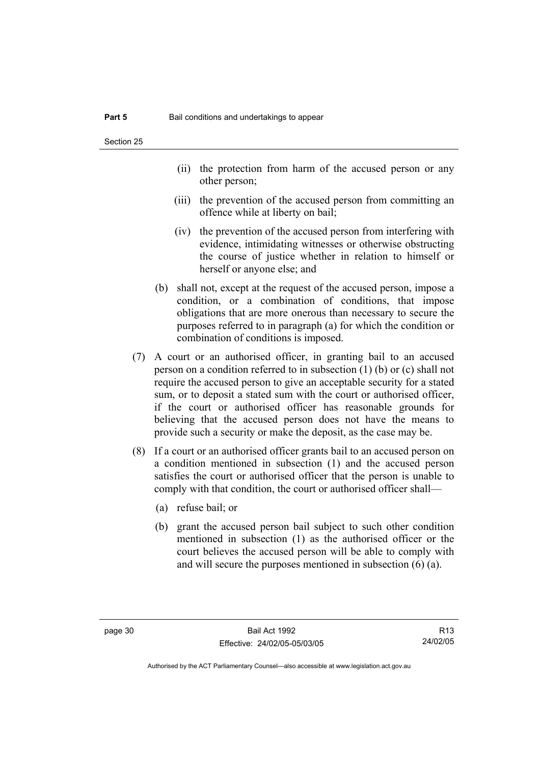- (ii) the protection from harm of the accused person or any other person;
- (iii) the prevention of the accused person from committing an offence while at liberty on bail;
- (iv) the prevention of the accused person from interfering with evidence, intimidating witnesses or otherwise obstructing the course of justice whether in relation to himself or herself or anyone else; and
- (b) shall not, except at the request of the accused person, impose a condition, or a combination of conditions, that impose obligations that are more onerous than necessary to secure the purposes referred to in paragraph (a) for which the condition or combination of conditions is imposed.
- (7) A court or an authorised officer, in granting bail to an accused person on a condition referred to in subsection (1) (b) or (c) shall not require the accused person to give an acceptable security for a stated sum, or to deposit a stated sum with the court or authorised officer, if the court or authorised officer has reasonable grounds for believing that the accused person does not have the means to provide such a security or make the deposit, as the case may be.
- (8) If a court or an authorised officer grants bail to an accused person on a condition mentioned in subsection (1) and the accused person satisfies the court or authorised officer that the person is unable to comply with that condition, the court or authorised officer shall—
	- (a) refuse bail; or
	- (b) grant the accused person bail subject to such other condition mentioned in subsection (1) as the authorised officer or the court believes the accused person will be able to comply with and will secure the purposes mentioned in subsection (6) (a).

R13 24/02/05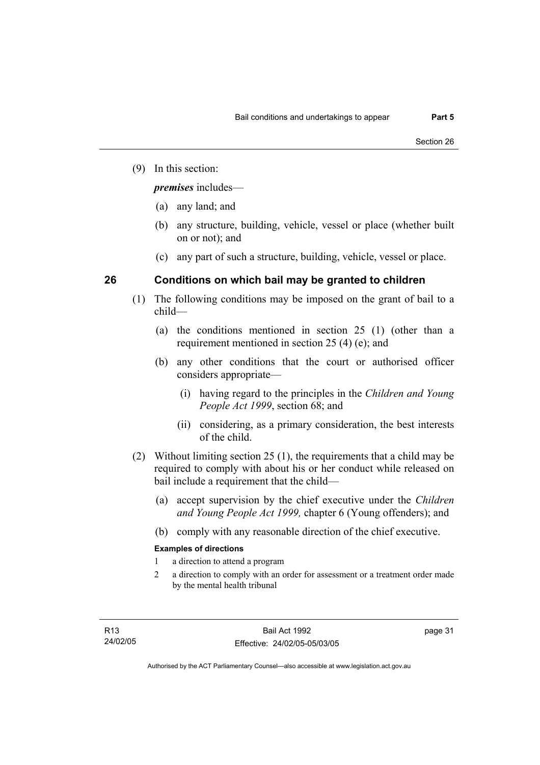(9) In this section:

*premises* includes—

- (a) any land; and
- (b) any structure, building, vehicle, vessel or place (whether built on or not); and
- (c) any part of such a structure, building, vehicle, vessel or place.

# **26 Conditions on which bail may be granted to children**

- (1) The following conditions may be imposed on the grant of bail to a child—
	- (a) the conditions mentioned in section 25 (1) (other than a requirement mentioned in section 25 (4) (e); and
	- (b) any other conditions that the court or authorised officer considers appropriate—
		- (i) having regard to the principles in the *Children and Young People Act 1999*, section 68; and
		- (ii) considering, as a primary consideration, the best interests of the child.
- (2) Without limiting section 25 (1), the requirements that a child may be required to comply with about his or her conduct while released on bail include a requirement that the child—
	- (a) accept supervision by the chief executive under the *Children and Young People Act 1999,* chapter 6 (Young offenders); and
	- (b) comply with any reasonable direction of the chief executive.

# **Examples of directions**

- 1 a direction to attend a program
- 2 a direction to comply with an order for assessment or a treatment order made by the mental health tribunal

page 31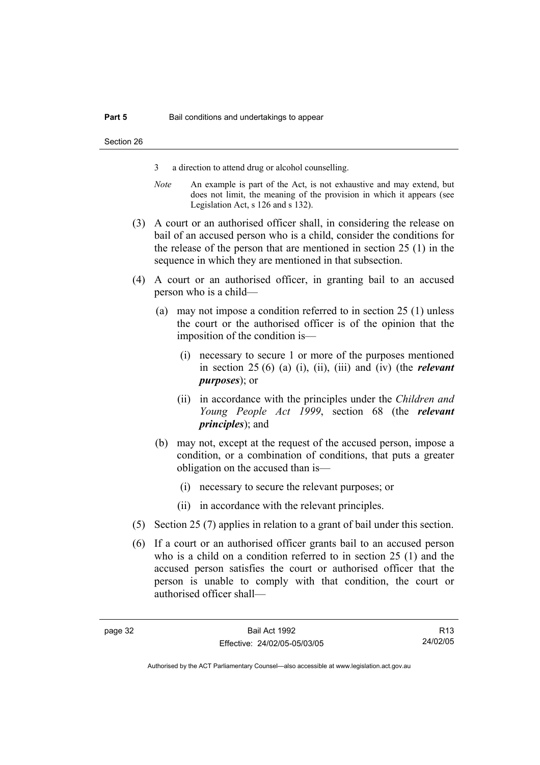- 3 a direction to attend drug or alcohol counselling.
- *Note* An example is part of the Act, is not exhaustive and may extend, but does not limit, the meaning of the provision in which it appears (see Legislation Act, s 126 and s 132).
- (3) A court or an authorised officer shall, in considering the release on bail of an accused person who is a child, consider the conditions for the release of the person that are mentioned in section 25 (1) in the sequence in which they are mentioned in that subsection.
- (4) A court or an authorised officer, in granting bail to an accused person who is a child—
	- (a) may not impose a condition referred to in section 25 (1) unless the court or the authorised officer is of the opinion that the imposition of the condition is—
		- (i) necessary to secure 1 or more of the purposes mentioned in section 25 (6) (a) (i), (ii), (iii) and (iv) (the *relevant purposes*); or
		- (ii) in accordance with the principles under the *Children and Young People Act 1999*, section 68 (the *relevant principles*); and
	- (b) may not, except at the request of the accused person, impose a condition, or a combination of conditions, that puts a greater obligation on the accused than is—
		- (i) necessary to secure the relevant purposes; or
		- (ii) in accordance with the relevant principles.
- (5) Section 25 (7) applies in relation to a grant of bail under this section.
- (6) If a court or an authorised officer grants bail to an accused person who is a child on a condition referred to in section 25 (1) and the accused person satisfies the court or authorised officer that the person is unable to comply with that condition, the court or authorised officer shall—

R13 24/02/05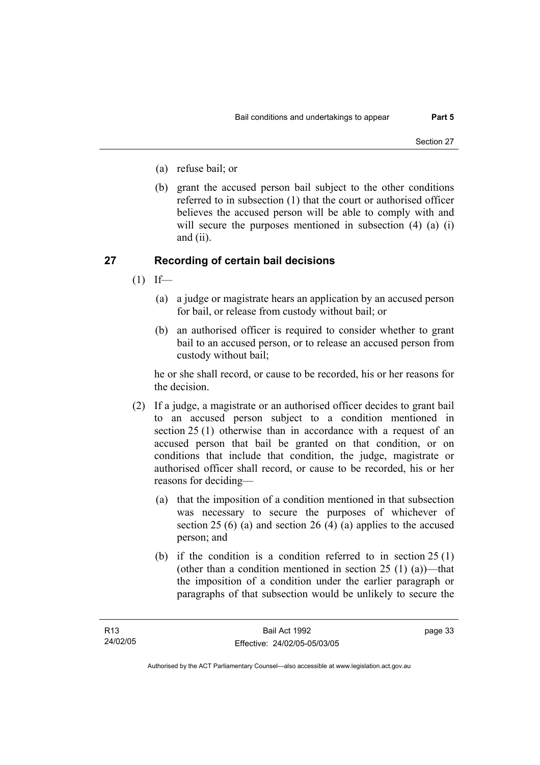- (a) refuse bail; or
- (b) grant the accused person bail subject to the other conditions referred to in subsection (1) that the court or authorised officer believes the accused person will be able to comply with and will secure the purposes mentioned in subsection (4) (a) (i) and (ii).

# **27 Recording of certain bail decisions**

- $(1)$  If—
	- (a) a judge or magistrate hears an application by an accused person for bail, or release from custody without bail; or
	- (b) an authorised officer is required to consider whether to grant bail to an accused person, or to release an accused person from custody without bail;

he or she shall record, or cause to be recorded, his or her reasons for the decision.

- (2) If a judge, a magistrate or an authorised officer decides to grant bail to an accused person subject to a condition mentioned in section 25 (1) otherwise than in accordance with a request of an accused person that bail be granted on that condition, or on conditions that include that condition, the judge, magistrate or authorised officer shall record, or cause to be recorded, his or her reasons for deciding—
	- (a) that the imposition of a condition mentioned in that subsection was necessary to secure the purposes of whichever of section 25 (6) (a) and section 26 (4) (a) applies to the accused person; and
	- (b) if the condition is a condition referred to in section 25 (1) (other than a condition mentioned in section  $25(1)(a)$ )—that the imposition of a condition under the earlier paragraph or paragraphs of that subsection would be unlikely to secure the

page 33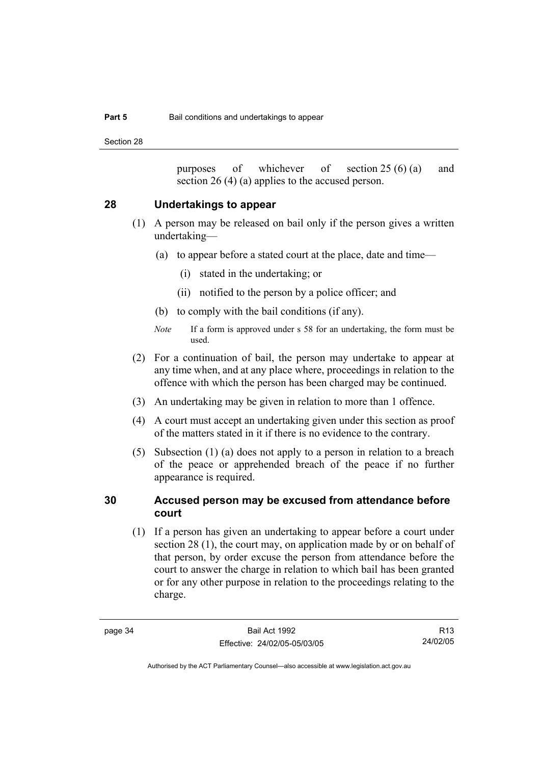Section 28

purposes of whichever of section 25 (6) (a) and section 26 (4) (a) applies to the accused person.

# **28 Undertakings to appear**

- (1) A person may be released on bail only if the person gives a written undertaking—
	- (a) to appear before a stated court at the place, date and time—
		- (i) stated in the undertaking; or
		- (ii) notified to the person by a police officer; and
	- (b) to comply with the bail conditions (if any).
	- *Note* If a form is approved under s 58 for an undertaking, the form must be used.
- (2) For a continuation of bail, the person may undertake to appear at any time when, and at any place where, proceedings in relation to the offence with which the person has been charged may be continued.
- (3) An undertaking may be given in relation to more than 1 offence.
- (4) A court must accept an undertaking given under this section as proof of the matters stated in it if there is no evidence to the contrary.
- (5) Subsection (1) (a) does not apply to a person in relation to a breach of the peace or apprehended breach of the peace if no further appearance is required.

# **30 Accused person may be excused from attendance before court**

 (1) If a person has given an undertaking to appear before a court under section 28 (1), the court may, on application made by or on behalf of that person, by order excuse the person from attendance before the court to answer the charge in relation to which bail has been granted or for any other purpose in relation to the proceedings relating to the charge.

R13 24/02/05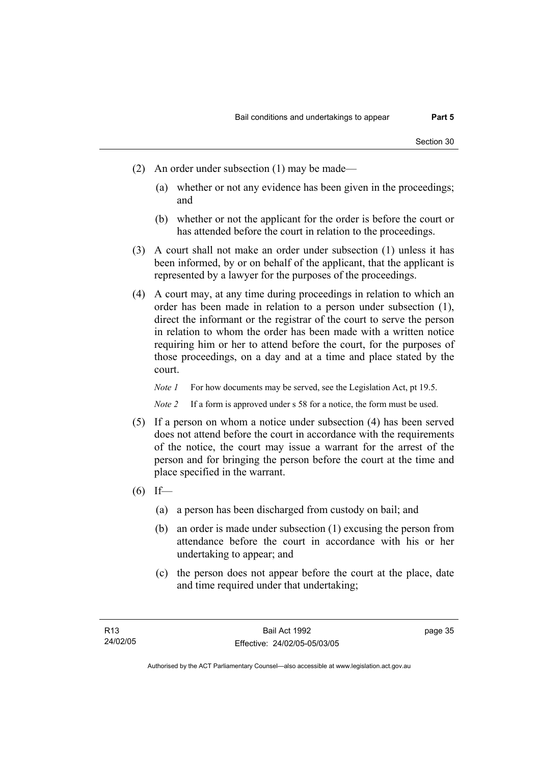- (2) An order under subsection (1) may be made—
	- (a) whether or not any evidence has been given in the proceedings; and
	- (b) whether or not the applicant for the order is before the court or has attended before the court in relation to the proceedings.
- (3) A court shall not make an order under subsection (1) unless it has been informed, by or on behalf of the applicant, that the applicant is represented by a lawyer for the purposes of the proceedings.
- (4) A court may, at any time during proceedings in relation to which an order has been made in relation to a person under subsection (1), direct the informant or the registrar of the court to serve the person in relation to whom the order has been made with a written notice requiring him or her to attend before the court, for the purposes of those proceedings, on a day and at a time and place stated by the court.

*Note 1* For how documents may be served, see the Legislation Act, pt 19.5.

*Note 2* If a form is approved under s 58 for a notice, the form must be used.

- (5) If a person on whom a notice under subsection (4) has been served does not attend before the court in accordance with the requirements of the notice, the court may issue a warrant for the arrest of the person and for bringing the person before the court at the time and place specified in the warrant.
- $(6)$  If—
	- (a) a person has been discharged from custody on bail; and
	- (b) an order is made under subsection (1) excusing the person from attendance before the court in accordance with his or her undertaking to appear; and
	- (c) the person does not appear before the court at the place, date and time required under that undertaking;

page 35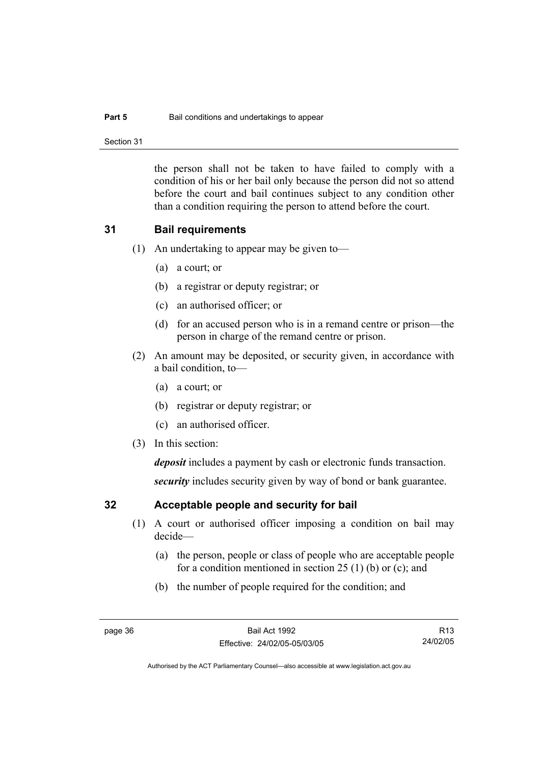### **Part 5 Bail conditions and undertakings to appear**

Section 31

the person shall not be taken to have failed to comply with a condition of his or her bail only because the person did not so attend before the court and bail continues subject to any condition other than a condition requiring the person to attend before the court.

# **31 Bail requirements**

- (1) An undertaking to appear may be given to—
	- (a) a court; or
	- (b) a registrar or deputy registrar; or
	- (c) an authorised officer; or
	- (d) for an accused person who is in a remand centre or prison—the person in charge of the remand centre or prison.
- (2) An amount may be deposited, or security given, in accordance with a bail condition, to—
	- (a) a court; or
	- (b) registrar or deputy registrar; or
	- (c) an authorised officer.
- (3) In this section:

*deposit* includes a payment by cash or electronic funds transaction.

*security* includes security given by way of bond or bank guarantee.

# **32 Acceptable people and security for bail**

- (1) A court or authorised officer imposing a condition on bail may decide—
	- (a) the person, people or class of people who are acceptable people for a condition mentioned in section 25 (1) (b) or (c); and
	- (b) the number of people required for the condition; and

R13 24/02/05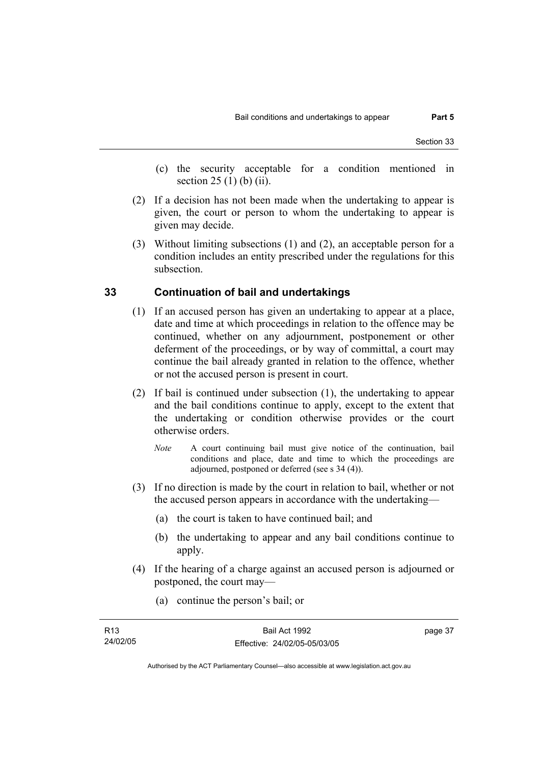- (c) the security acceptable for a condition mentioned in section 25 (1) (b) (ii).
- (2) If a decision has not been made when the undertaking to appear is given, the court or person to whom the undertaking to appear is given may decide.
- (3) Without limiting subsections (1) and (2), an acceptable person for a condition includes an entity prescribed under the regulations for this subsection.

# **33 Continuation of bail and undertakings**

- (1) If an accused person has given an undertaking to appear at a place, date and time at which proceedings in relation to the offence may be continued, whether on any adjournment, postponement or other deferment of the proceedings, or by way of committal, a court may continue the bail already granted in relation to the offence, whether or not the accused person is present in court.
- (2) If bail is continued under subsection (1), the undertaking to appear and the bail conditions continue to apply, except to the extent that the undertaking or condition otherwise provides or the court otherwise orders.
	- *Note* A court continuing bail must give notice of the continuation, bail conditions and place, date and time to which the proceedings are adjourned, postponed or deferred (see s 34 (4)).
- (3) If no direction is made by the court in relation to bail, whether or not the accused person appears in accordance with the undertaking—
	- (a) the court is taken to have continued bail; and
	- (b) the undertaking to appear and any bail conditions continue to apply.
- (4) If the hearing of a charge against an accused person is adjourned or postponed, the court may—
	- (a) continue the person's bail; or

| R13      | Bail Act 1992                | page 37 |
|----------|------------------------------|---------|
| 24/02/05 | Effective: 24/02/05-05/03/05 |         |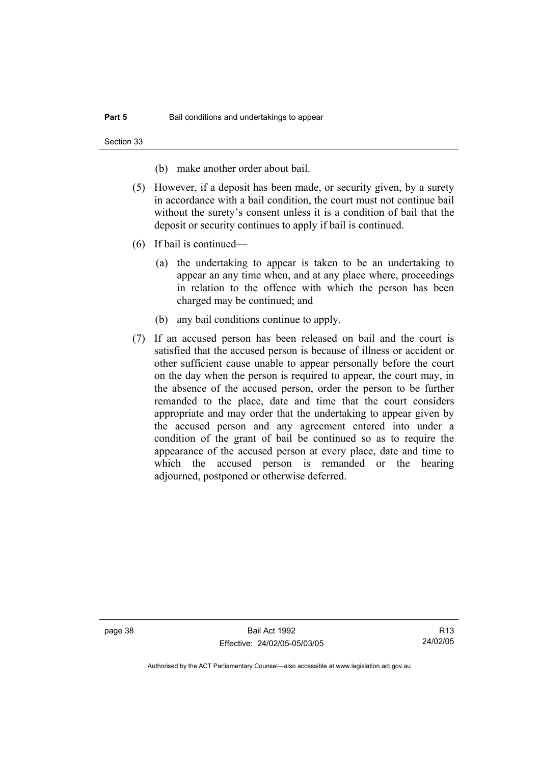Section 33

(b) make another order about bail.

- (5) However, if a deposit has been made, or security given, by a surety in accordance with a bail condition, the court must not continue bail without the surety's consent unless it is a condition of bail that the deposit or security continues to apply if bail is continued.
- (6) If bail is continued—
	- (a) the undertaking to appear is taken to be an undertaking to appear an any time when, and at any place where, proceedings in relation to the offence with which the person has been charged may be continued; and
	- (b) any bail conditions continue to apply.
- (7) If an accused person has been released on bail and the court is satisfied that the accused person is because of illness or accident or other sufficient cause unable to appear personally before the court on the day when the person is required to appear, the court may, in the absence of the accused person, order the person to be further remanded to the place, date and time that the court considers appropriate and may order that the undertaking to appear given by the accused person and any agreement entered into under a condition of the grant of bail be continued so as to require the appearance of the accused person at every place, date and time to which the accused person is remanded or the hearing adjourned, postponed or otherwise deferred.

page 38 Bail Act 1992 Effective: 24/02/05-05/03/05

R13 24/02/05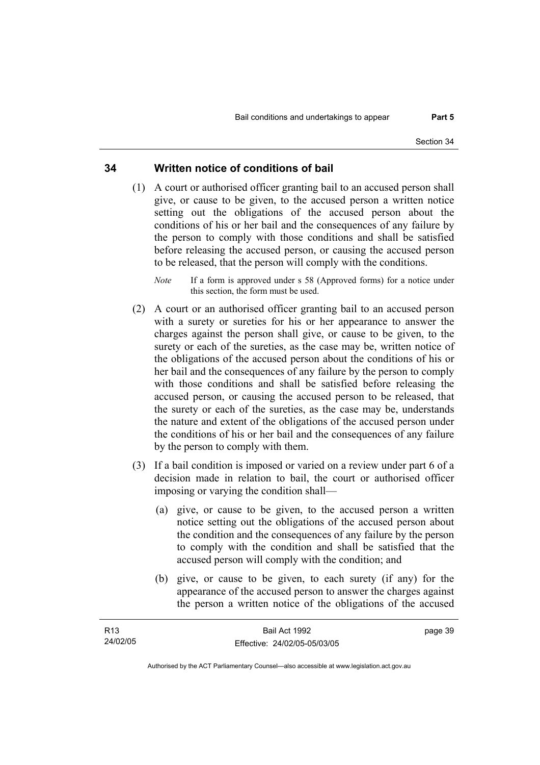# **34 Written notice of conditions of bail**

- (1) A court or authorised officer granting bail to an accused person shall give, or cause to be given, to the accused person a written notice setting out the obligations of the accused person about the conditions of his or her bail and the consequences of any failure by the person to comply with those conditions and shall be satisfied before releasing the accused person, or causing the accused person to be released, that the person will comply with the conditions.
	- *Note* If a form is approved under s 58 (Approved forms) for a notice under this section, the form must be used.
- (2) A court or an authorised officer granting bail to an accused person with a surety or sureties for his or her appearance to answer the charges against the person shall give, or cause to be given, to the surety or each of the sureties, as the case may be, written notice of the obligations of the accused person about the conditions of his or her bail and the consequences of any failure by the person to comply with those conditions and shall be satisfied before releasing the accused person, or causing the accused person to be released, that the surety or each of the sureties, as the case may be, understands the nature and extent of the obligations of the accused person under the conditions of his or her bail and the consequences of any failure by the person to comply with them.
- (3) If a bail condition is imposed or varied on a review under part 6 of a decision made in relation to bail, the court or authorised officer imposing or varying the condition shall—
	- (a) give, or cause to be given, to the accused person a written notice setting out the obligations of the accused person about the condition and the consequences of any failure by the person to comply with the condition and shall be satisfied that the accused person will comply with the condition; and
	- (b) give, or cause to be given, to each surety (if any) for the appearance of the accused person to answer the charges against the person a written notice of the obligations of the accused

| R <sub>13</sub> | Bail Act 1992                | page 39 |
|-----------------|------------------------------|---------|
| 24/02/05        | Effective: 24/02/05-05/03/05 |         |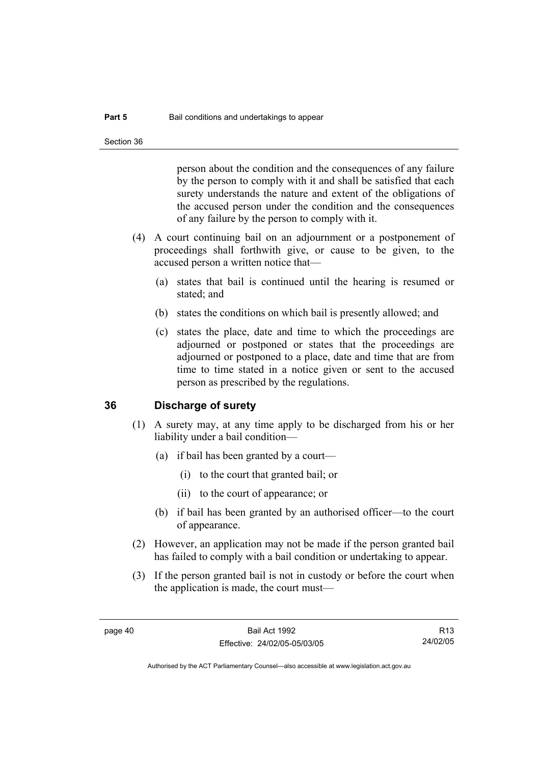person about the condition and the consequences of any failure by the person to comply with it and shall be satisfied that each surety understands the nature and extent of the obligations of the accused person under the condition and the consequences of any failure by the person to comply with it.

- (4) A court continuing bail on an adjournment or a postponement of proceedings shall forthwith give, or cause to be given, to the accused person a written notice that—
	- (a) states that bail is continued until the hearing is resumed or stated; and
	- (b) states the conditions on which bail is presently allowed; and
	- (c) states the place, date and time to which the proceedings are adjourned or postponed or states that the proceedings are adjourned or postponed to a place, date and time that are from time to time stated in a notice given or sent to the accused person as prescribed by the regulations.

# **36 Discharge of surety**

- (1) A surety may, at any time apply to be discharged from his or her liability under a bail condition—
	- (a) if bail has been granted by a court—
		- (i) to the court that granted bail; or
		- (ii) to the court of appearance; or
	- (b) if bail has been granted by an authorised officer—to the court of appearance.
- (2) However, an application may not be made if the person granted bail has failed to comply with a bail condition or undertaking to appear.
- (3) If the person granted bail is not in custody or before the court when the application is made, the court must—

R13 24/02/05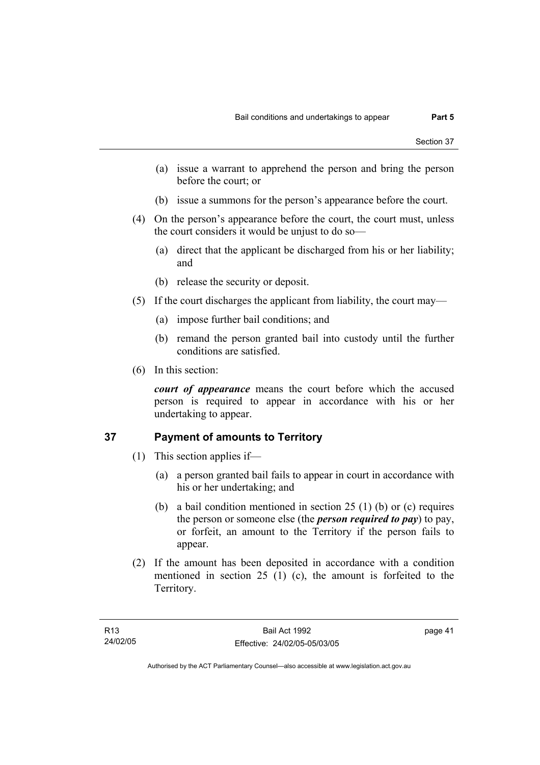- (a) issue a warrant to apprehend the person and bring the person before the court; or
- (b) issue a summons for the person's appearance before the court.
- (4) On the person's appearance before the court, the court must, unless the court considers it would be unjust to do so—
	- (a) direct that the applicant be discharged from his or her liability; and
	- (b) release the security or deposit.
- (5) If the court discharges the applicant from liability, the court may—
	- (a) impose further bail conditions; and
	- (b) remand the person granted bail into custody until the further conditions are satisfied.
- (6) In this section:

*court of appearance* means the court before which the accused person is required to appear in accordance with his or her undertaking to appear.

# **37 Payment of amounts to Territory**

- (1) This section applies if—
	- (a) a person granted bail fails to appear in court in accordance with his or her undertaking; and
	- (b) a bail condition mentioned in section 25 (1) (b) or (c) requires the person or someone else (the *person required to pay*) to pay, or forfeit, an amount to the Territory if the person fails to appear.
- (2) If the amount has been deposited in accordance with a condition mentioned in section 25 (1) (c), the amount is forfeited to the Territory.

page 41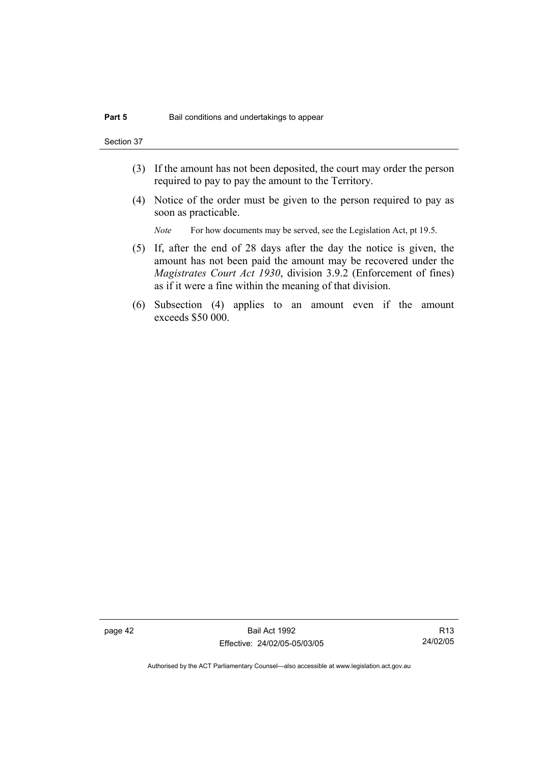Section 37

- (3) If the amount has not been deposited, the court may order the person required to pay to pay the amount to the Territory.
- (4) Notice of the order must be given to the person required to pay as soon as practicable.

*Note* For how documents may be served, see the Legislation Act, pt 19.5.

- (5) If, after the end of 28 days after the day the notice is given, the amount has not been paid the amount may be recovered under the *Magistrates Court Act 1930*, division 3.9.2 (Enforcement of fines) as if it were a fine within the meaning of that division.
- (6) Subsection (4) applies to an amount even if the amount exceeds \$50 000.

page 42 Bail Act 1992 Effective: 24/02/05-05/03/05

R13 24/02/05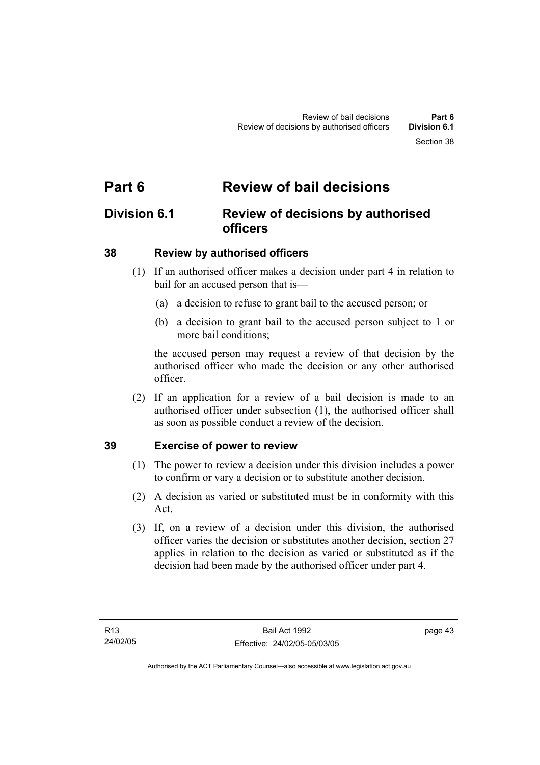# **Part 6 Review of bail decisions**

# **Division 6.1 Review of decisions by authorised officers**

# **38 Review by authorised officers**

- (1) If an authorised officer makes a decision under part 4 in relation to bail for an accused person that is—
	- (a) a decision to refuse to grant bail to the accused person; or
	- (b) a decision to grant bail to the accused person subject to 1 or more bail conditions;

the accused person may request a review of that decision by the authorised officer who made the decision or any other authorised officer.

 (2) If an application for a review of a bail decision is made to an authorised officer under subsection (1), the authorised officer shall as soon as possible conduct a review of the decision.

# **39 Exercise of power to review**

- (1) The power to review a decision under this division includes a power to confirm or vary a decision or to substitute another decision.
- (2) A decision as varied or substituted must be in conformity with this Act.
- (3) If, on a review of a decision under this division, the authorised officer varies the decision or substitutes another decision, section 27 applies in relation to the decision as varied or substituted as if the decision had been made by the authorised officer under part 4.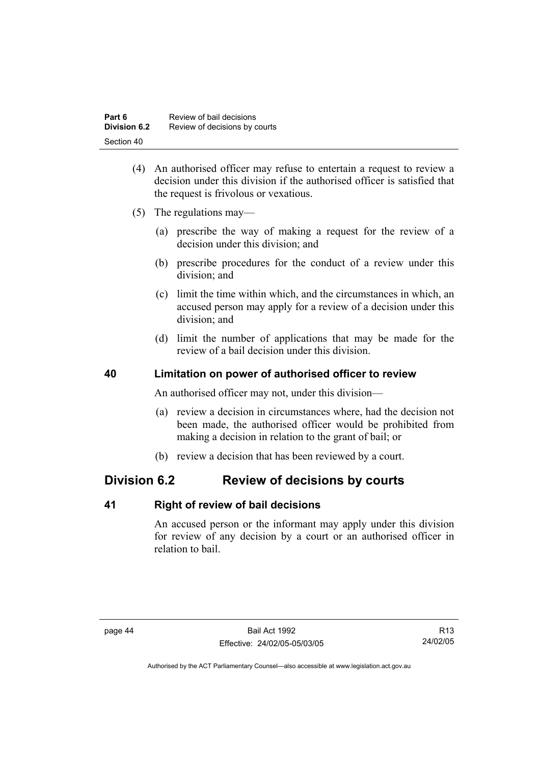| Part 6              | Review of bail decisions      |
|---------------------|-------------------------------|
| <b>Division 6.2</b> | Review of decisions by courts |
| Section 40          |                               |

- (4) An authorised officer may refuse to entertain a request to review a decision under this division if the authorised officer is satisfied that the request is frivolous or vexatious.
- (5) The regulations may—
	- (a) prescribe the way of making a request for the review of a decision under this division; and
	- (b) prescribe procedures for the conduct of a review under this division; and
	- (c) limit the time within which, and the circumstances in which, an accused person may apply for a review of a decision under this division; and
	- (d) limit the number of applications that may be made for the review of a bail decision under this division.

# **40 Limitation on power of authorised officer to review**

An authorised officer may not, under this division—

- (a) review a decision in circumstances where, had the decision not been made, the authorised officer would be prohibited from making a decision in relation to the grant of bail; or
- (b) review a decision that has been reviewed by a court.

# **Division 6.2 Review of decisions by courts**

# **41 Right of review of bail decisions**

An accused person or the informant may apply under this division for review of any decision by a court or an authorised officer in relation to bail.

R13 24/02/05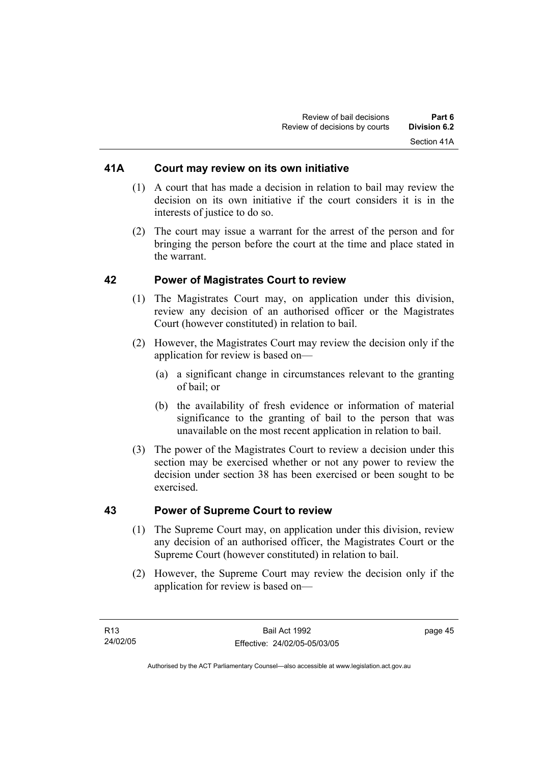# **41A Court may review on its own initiative**

- (1) A court that has made a decision in relation to bail may review the decision on its own initiative if the court considers it is in the interests of justice to do so.
- (2) The court may issue a warrant for the arrest of the person and for bringing the person before the court at the time and place stated in the warrant.

# **42 Power of Magistrates Court to review**

- (1) The Magistrates Court may, on application under this division, review any decision of an authorised officer or the Magistrates Court (however constituted) in relation to bail.
- (2) However, the Magistrates Court may review the decision only if the application for review is based on—
	- (a) a significant change in circumstances relevant to the granting of bail; or
	- (b) the availability of fresh evidence or information of material significance to the granting of bail to the person that was unavailable on the most recent application in relation to bail.
- (3) The power of the Magistrates Court to review a decision under this section may be exercised whether or not any power to review the decision under section 38 has been exercised or been sought to be exercised.

# **43 Power of Supreme Court to review**

- (1) The Supreme Court may, on application under this division, review any decision of an authorised officer, the Magistrates Court or the Supreme Court (however constituted) in relation to bail.
- (2) However, the Supreme Court may review the decision only if the application for review is based on—

page 45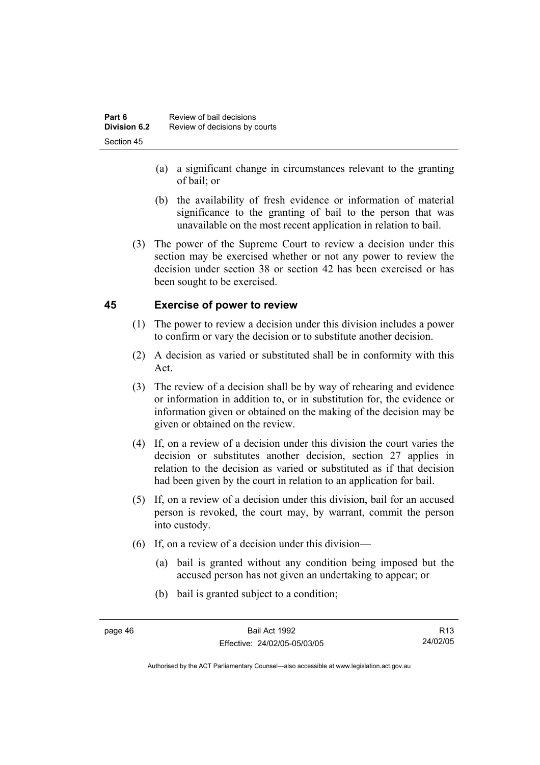- (a) a significant change in circumstances relevant to the granting of bail; or
- (b) the availability of fresh evidence or information of material significance to the granting of bail to the person that was unavailable on the most recent application in relation to bail.
- (3) The power of the Supreme Court to review a decision under this section may be exercised whether or not any power to review the decision under section 38 or section 42 has been exercised or has been sought to be exercised.

# **45 Exercise of power to review**

- (1) The power to review a decision under this division includes a power to confirm or vary the decision or to substitute another decision.
- (2) A decision as varied or substituted shall be in conformity with this Act.
- (3) The review of a decision shall be by way of rehearing and evidence or information in addition to, or in substitution for, the evidence or information given or obtained on the making of the decision may be given or obtained on the review.
- (4) If, on a review of a decision under this division the court varies the decision or substitutes another decision, section 27 applies in relation to the decision as varied or substituted as if that decision had been given by the court in relation to an application for bail.
- (5) If, on a review of a decision under this division, bail for an accused person is revoked, the court may, by warrant, commit the person into custody.
- (6) If, on a review of a decision under this division—
	- (a) bail is granted without any condition being imposed but the accused person has not given an undertaking to appear; or
	- (b) bail is granted subject to a condition;

R13 24/02/05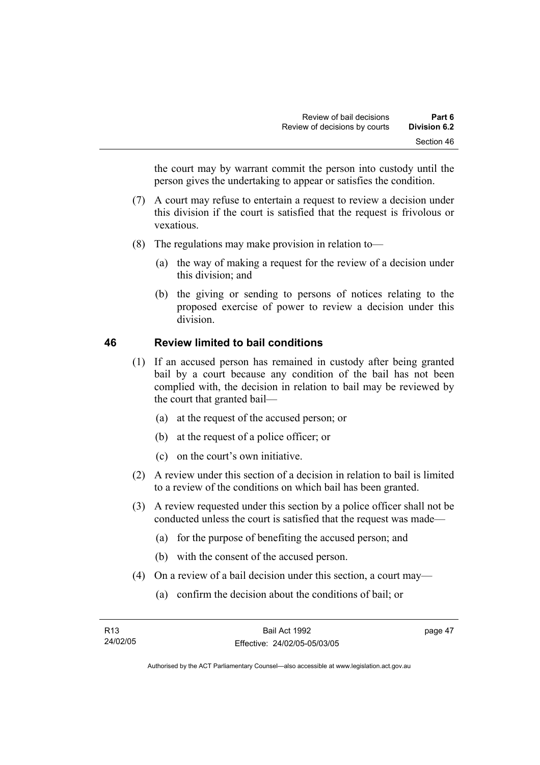the court may by warrant commit the person into custody until the person gives the undertaking to appear or satisfies the condition.

- (7) A court may refuse to entertain a request to review a decision under this division if the court is satisfied that the request is frivolous or vexatious.
- (8) The regulations may make provision in relation to—
	- (a) the way of making a request for the review of a decision under this division; and
	- (b) the giving or sending to persons of notices relating to the proposed exercise of power to review a decision under this division.

# **46 Review limited to bail conditions**

- (1) If an accused person has remained in custody after being granted bail by a court because any condition of the bail has not been complied with, the decision in relation to bail may be reviewed by the court that granted bail—
	- (a) at the request of the accused person; or
	- (b) at the request of a police officer; or
	- (c) on the court's own initiative.
- (2) A review under this section of a decision in relation to bail is limited to a review of the conditions on which bail has been granted.
- (3) A review requested under this section by a police officer shall not be conducted unless the court is satisfied that the request was made—
	- (a) for the purpose of benefiting the accused person; and
	- (b) with the consent of the accused person.
- (4) On a review of a bail decision under this section, a court may—
	- (a) confirm the decision about the conditions of bail; or

page 47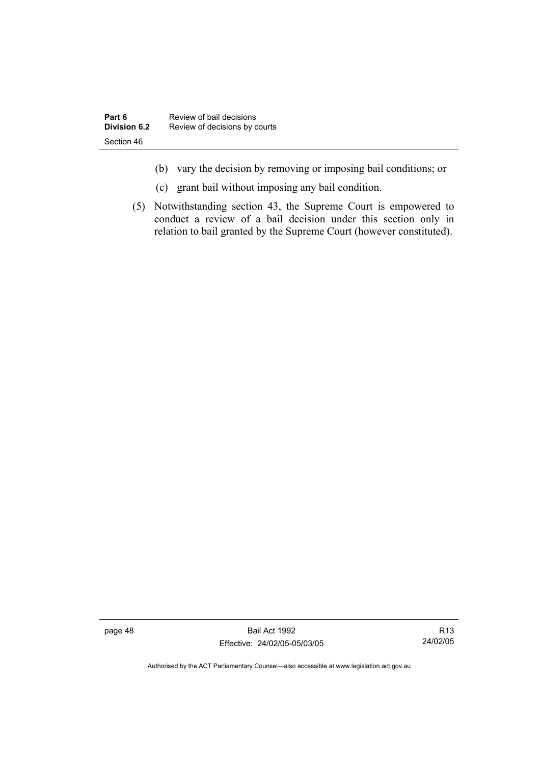- (b) vary the decision by removing or imposing bail conditions; or
- (c) grant bail without imposing any bail condition.
- (5) Notwithstanding section 43, the Supreme Court is empowered to conduct a review of a bail decision under this section only in relation to bail granted by the Supreme Court (however constituted).

page 48 Bail Act 1992 Effective: 24/02/05-05/03/05

R13 24/02/05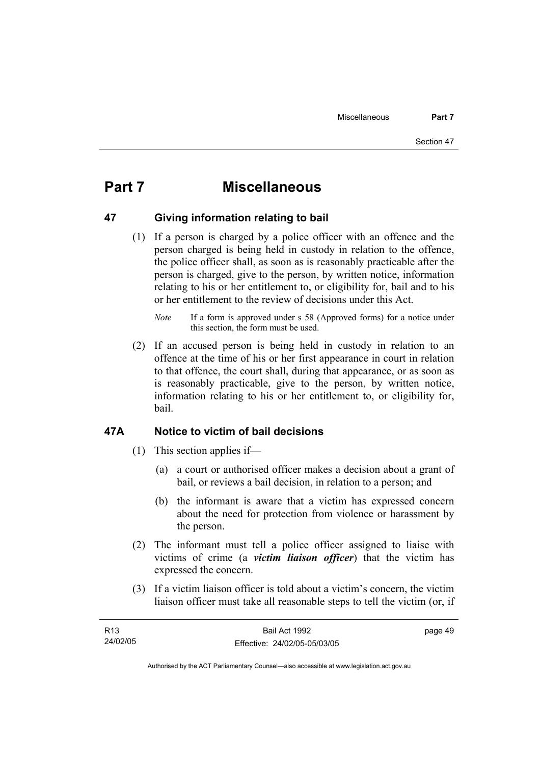# **Part 7 Miscellaneous**

# **47 Giving information relating to bail**

 (1) If a person is charged by a police officer with an offence and the person charged is being held in custody in relation to the offence, the police officer shall, as soon as is reasonably practicable after the person is charged, give to the person, by written notice, information relating to his or her entitlement to, or eligibility for, bail and to his or her entitlement to the review of decisions under this Act.

 (2) If an accused person is being held in custody in relation to an offence at the time of his or her first appearance in court in relation to that offence, the court shall, during that appearance, or as soon as is reasonably practicable, give to the person, by written notice, information relating to his or her entitlement to, or eligibility for, bail.

# **47A Notice to victim of bail decisions**

- (1) This section applies if—
	- (a) a court or authorised officer makes a decision about a grant of bail, or reviews a bail decision, in relation to a person; and
	- (b) the informant is aware that a victim has expressed concern about the need for protection from violence or harassment by the person.
- (2) The informant must tell a police officer assigned to liaise with victims of crime (a *victim liaison officer*) that the victim has expressed the concern.
- (3) If a victim liaison officer is told about a victim's concern, the victim liaison officer must take all reasonable steps to tell the victim (or, if

| R13      | Bail Act 1992                | page 49 |
|----------|------------------------------|---------|
| 24/02/05 | Effective: 24/02/05-05/03/05 |         |

*Note* If a form is approved under s 58 (Approved forms) for a notice under this section, the form must be used.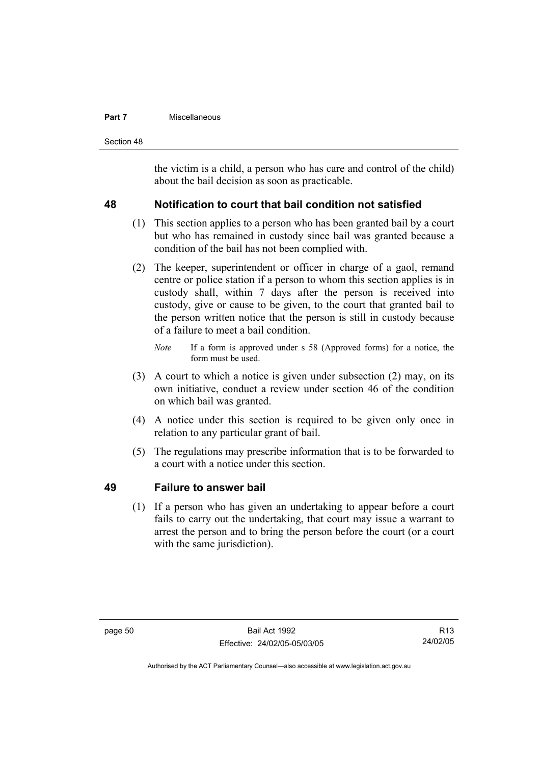### **Part 7 Miscellaneous**

Section 48

the victim is a child, a person who has care and control of the child) about the bail decision as soon as practicable.

# **48 Notification to court that bail condition not satisfied**

- (1) This section applies to a person who has been granted bail by a court but who has remained in custody since bail was granted because a condition of the bail has not been complied with.
- (2) The keeper, superintendent or officer in charge of a gaol, remand centre or police station if a person to whom this section applies is in custody shall, within 7 days after the person is received into custody, give or cause to be given, to the court that granted bail to the person written notice that the person is still in custody because of a failure to meet a bail condition.
	- *Note* If a form is approved under s 58 (Approved forms) for a notice, the form must be used.
- (3) A court to which a notice is given under subsection (2) may, on its own initiative, conduct a review under section 46 of the condition on which bail was granted.
- (4) A notice under this section is required to be given only once in relation to any particular grant of bail.
- (5) The regulations may prescribe information that is to be forwarded to a court with a notice under this section.

# **49 Failure to answer bail**

 (1) If a person who has given an undertaking to appear before a court fails to carry out the undertaking, that court may issue a warrant to arrest the person and to bring the person before the court (or a court with the same jurisdiction).

R13 24/02/05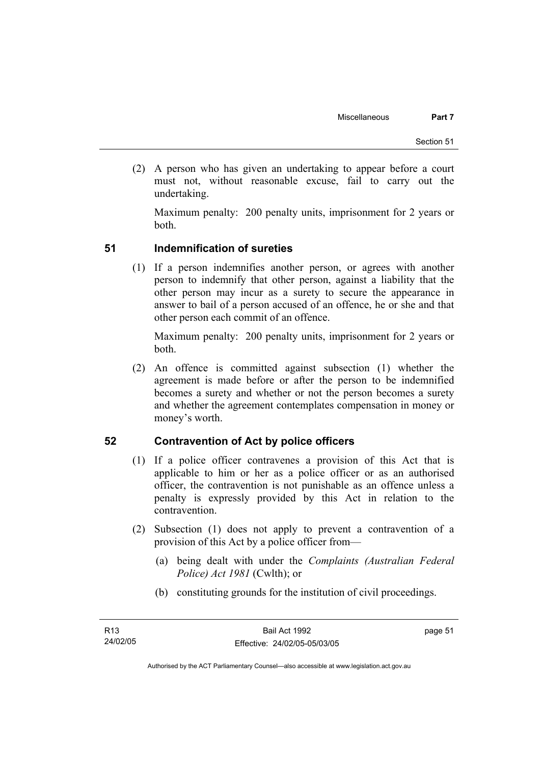(2) A person who has given an undertaking to appear before a court must not, without reasonable excuse, fail to carry out the undertaking.

Maximum penalty: 200 penalty units, imprisonment for 2 years or both.

# **51 Indemnification of sureties**

 (1) If a person indemnifies another person, or agrees with another person to indemnify that other person, against a liability that the other person may incur as a surety to secure the appearance in answer to bail of a person accused of an offence, he or she and that other person each commit of an offence.

Maximum penalty: 200 penalty units, imprisonment for 2 years or both.

 (2) An offence is committed against subsection (1) whether the agreement is made before or after the person to be indemnified becomes a surety and whether or not the person becomes a surety and whether the agreement contemplates compensation in money or money's worth.

# **52 Contravention of Act by police officers**

- (1) If a police officer contravenes a provision of this Act that is applicable to him or her as a police officer or as an authorised officer, the contravention is not punishable as an offence unless a penalty is expressly provided by this Act in relation to the contravention.
- (2) Subsection (1) does not apply to prevent a contravention of a provision of this Act by a police officer from—
	- (a) being dealt with under the *Complaints (Australian Federal Police) Act 1981* (Cwlth); or
	- (b) constituting grounds for the institution of civil proceedings.

page 51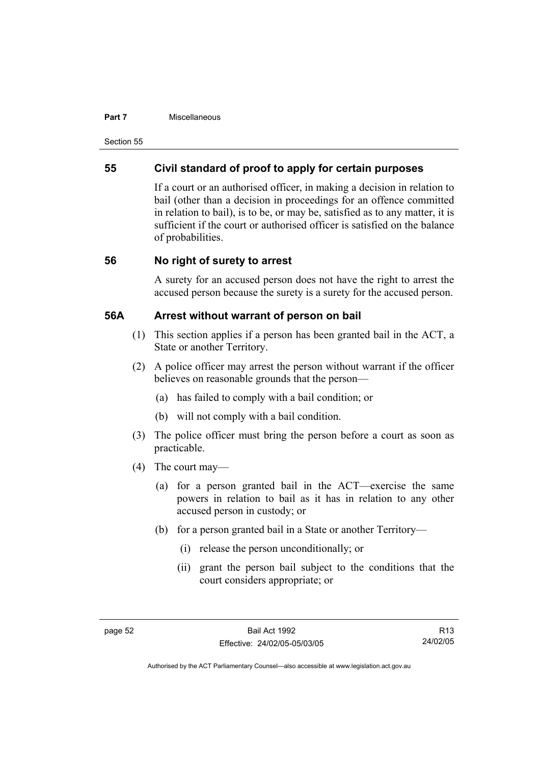### **Part 7 Miscellaneous**

Section 55

# **55 Civil standard of proof to apply for certain purposes**

If a court or an authorised officer, in making a decision in relation to bail (other than a decision in proceedings for an offence committed in relation to bail), is to be, or may be, satisfied as to any matter, it is sufficient if the court or authorised officer is satisfied on the balance of probabilities.

# **56 No right of surety to arrest**

A surety for an accused person does not have the right to arrest the accused person because the surety is a surety for the accused person.

# **56A Arrest without warrant of person on bail**

- (1) This section applies if a person has been granted bail in the ACT, a State or another Territory.
- (2) A police officer may arrest the person without warrant if the officer believes on reasonable grounds that the person—
	- (a) has failed to comply with a bail condition; or
	- (b) will not comply with a bail condition.
- (3) The police officer must bring the person before a court as soon as practicable.
- (4) The court may—
	- (a) for a person granted bail in the ACT—exercise the same powers in relation to bail as it has in relation to any other accused person in custody; or
	- (b) for a person granted bail in a State or another Territory—
		- (i) release the person unconditionally; or
		- (ii) grant the person bail subject to the conditions that the court considers appropriate; or

R13 24/02/05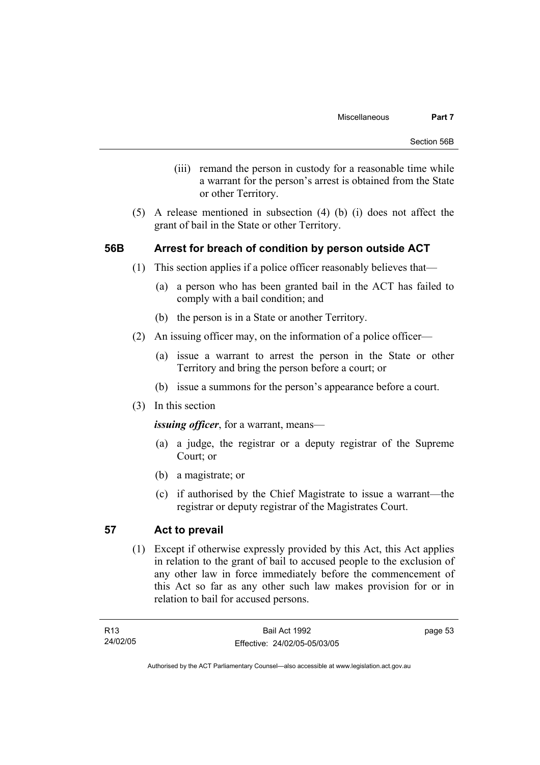- (iii) remand the person in custody for a reasonable time while a warrant for the person's arrest is obtained from the State or other Territory.
- (5) A release mentioned in subsection (4) (b) (i) does not affect the grant of bail in the State or other Territory.

# **56B Arrest for breach of condition by person outside ACT**

- (1) This section applies if a police officer reasonably believes that—
	- (a) a person who has been granted bail in the ACT has failed to comply with a bail condition; and
	- (b) the person is in a State or another Territory.
- (2) An issuing officer may, on the information of a police officer—
	- (a) issue a warrant to arrest the person in the State or other Territory and bring the person before a court; or
	- (b) issue a summons for the person's appearance before a court.
- (3) In this section

*issuing officer*, for a warrant, means—

- (a) a judge, the registrar or a deputy registrar of the Supreme Court; or
- (b) a magistrate; or
- (c) if authorised by the Chief Magistrate to issue a warrant—the registrar or deputy registrar of the Magistrates Court.

# **57 Act to prevail**

 (1) Except if otherwise expressly provided by this Act, this Act applies in relation to the grant of bail to accused people to the exclusion of any other law in force immediately before the commencement of this Act so far as any other such law makes provision for or in relation to bail for accused persons.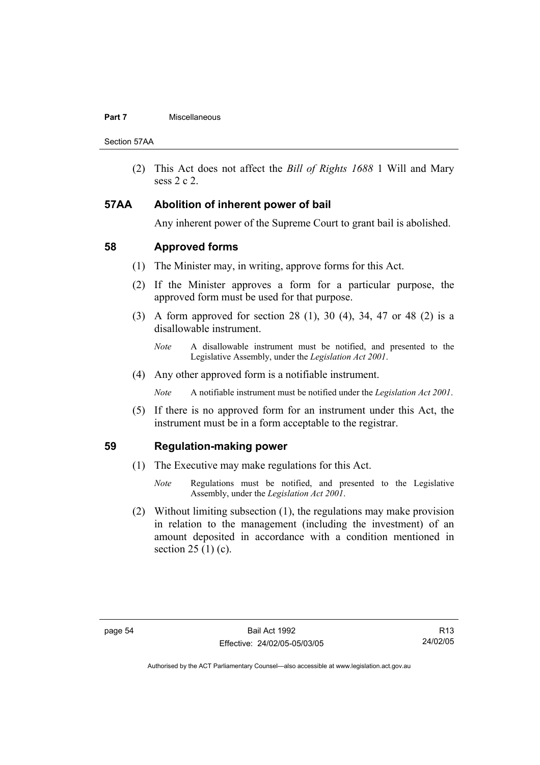### **Part 7 Miscellaneous**

Section 57AA

 (2) This Act does not affect the *Bill of Rights 1688* 1 Will and Mary sess 2 c 2.

# **57AA Abolition of inherent power of bail**

Any inherent power of the Supreme Court to grant bail is abolished.

# **58 Approved forms**

- (1) The Minister may, in writing, approve forms for this Act.
- (2) If the Minister approves a form for a particular purpose, the approved form must be used for that purpose.
- (3) A form approved for section 28 (1), 30 (4), 34, 47 or 48 (2) is a disallowable instrument.
	- *Note* A disallowable instrument must be notified, and presented to the Legislative Assembly, under the *Legislation Act 2001*.
- (4) Any other approved form is a notifiable instrument.

*Note* A notifiable instrument must be notified under the *Legislation Act 2001*.

 (5) If there is no approved form for an instrument under this Act, the instrument must be in a form acceptable to the registrar.

# **59 Regulation-making power**

- (1) The Executive may make regulations for this Act.
	- *Note* Regulations must be notified, and presented to the Legislative Assembly, under the *Legislation Act 2001*.
- (2) Without limiting subsection (1), the regulations may make provision in relation to the management (including the investment) of an amount deposited in accordance with a condition mentioned in section  $25(1)(c)$ .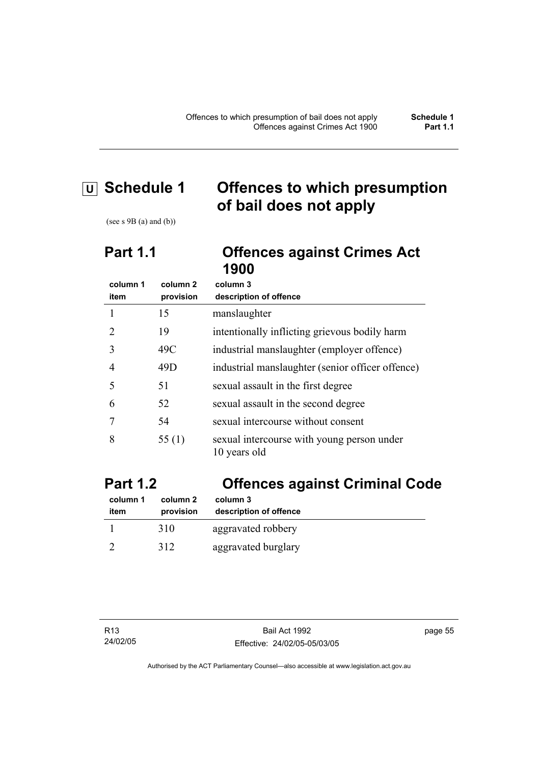# **U Schedule 1 Offences to which presumption of bail does not apply**

(see s  $9B$  (a) and (b))

# **Part 1.1 Offences against Crimes Act 1900**

| column 1 | column <sub>2</sub> | column 3                                                   |
|----------|---------------------|------------------------------------------------------------|
| item     | provision           | description of offence                                     |
|          | 15                  | manslaughter                                               |
|          | 19                  | intentionally inflicting grievous bodily harm              |
| 3        | 49C                 | industrial manslaughter (employer offence)                 |
| 4        | 49D                 | industrial manslaughter (senior officer offence)           |
| 5        | 51                  | sexual assault in the first degree                         |
| 6        | 52                  | sexual assault in the second degree                        |
|          | 54                  | sexual intercourse without consent                         |
| 8        | 55 $(1)$            | sexual intercourse with young person under<br>10 years old |

# **Part 1.2 Offences against Criminal Code**

| column 1 | column 2  | column 3               |
|----------|-----------|------------------------|
| item     | provision | description of offence |
|          | 310       | aggravated robbery     |
|          | 312       | aggravated burglary    |

page 55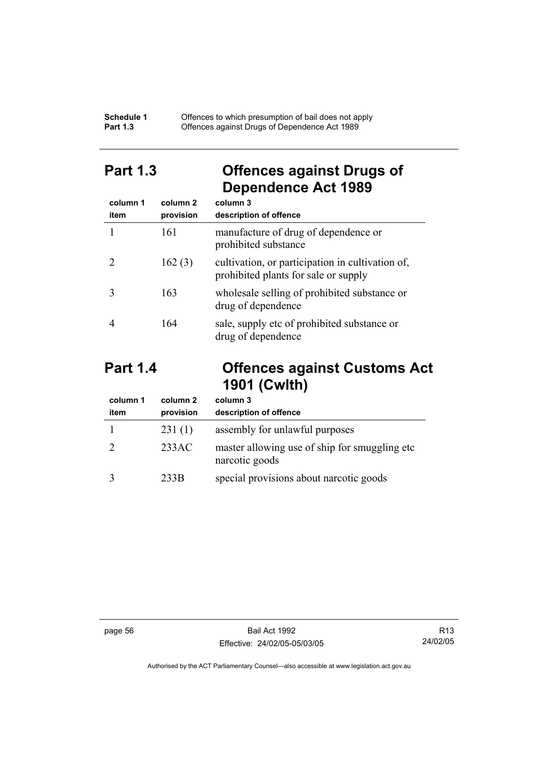### **Schedule 1** Offences to which presumption of bail does not apply **Part 1.3 C** Offences against Drugs of Dependence Act 1989

# **Part 1.3 Offences against Drugs of Dependence Act 1989**

| column 1<br>item | column <sub>2</sub><br>provision | column 3<br>description of offence                                                       |
|------------------|----------------------------------|------------------------------------------------------------------------------------------|
|                  | 161                              | manufacture of drug of dependence or<br>prohibited substance                             |
|                  | 162(3)                           | cultivation, or participation in cultivation of,<br>prohibited plants for sale or supply |
|                  | 163                              | wholesale selling of prohibited substance or<br>drug of dependence                       |
|                  | 164                              | sale, supply etc of prohibited substance or<br>drug of dependence                        |

# **Part 1.4 Offences against Customs Act 1901 (Cwlth)**

| column 1<br>item | column 2<br>provision | column 3<br>description of offence                               |
|------------------|-----------------------|------------------------------------------------------------------|
|                  | 231(1)                | assembly for unlawful purposes                                   |
|                  | 233AC                 | master allowing use of ship for smuggling etc.<br>narcotic goods |
|                  | 233B                  | special provisions about narcotic goods                          |

page 56 Bail Act 1992 Effective: 24/02/05-05/03/05

R13 24/02/05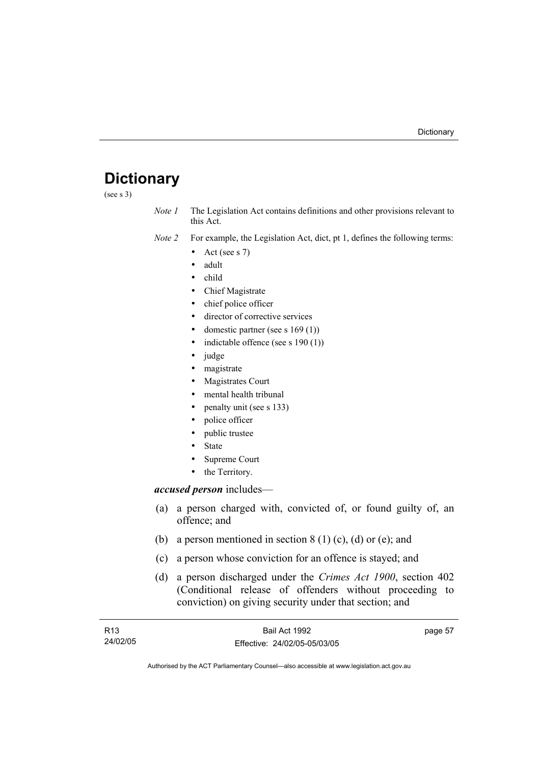# **Dictionary**

(see s 3)

*Note 1* The Legislation Act contains definitions and other provisions relevant to this Act.

*Note 2* For example, the Legislation Act, dict, pt 1, defines the following terms:

- Act (see s  $7$ )
- adult
- child
- Chief Magistrate
- chief police officer
- director of corrective services
- domestic partner (see s  $169(1)$ )
- indictable offence (see s  $190(1)$ )
- judge
- magistrate
- Magistrates Court
- mental health tribunal
- penalty unit (see s 133)
- police officer
- public trustee
- **State**
- Supreme Court
- the Territory.

### *accused person* includes—

- (a) a person charged with, convicted of, or found guilty of, an offence; and
- (b) a person mentioned in section  $8(1)(c)$ , (d) or (e); and
- (c) a person whose conviction for an offence is stayed; and
- (d) a person discharged under the *Crimes Act 1900*, section 402 (Conditional release of offenders without proceeding to conviction) on giving security under that section; and

| R13      | Bail Act 1992                | page 57 |
|----------|------------------------------|---------|
| 24/02/05 | Effective: 24/02/05-05/03/05 |         |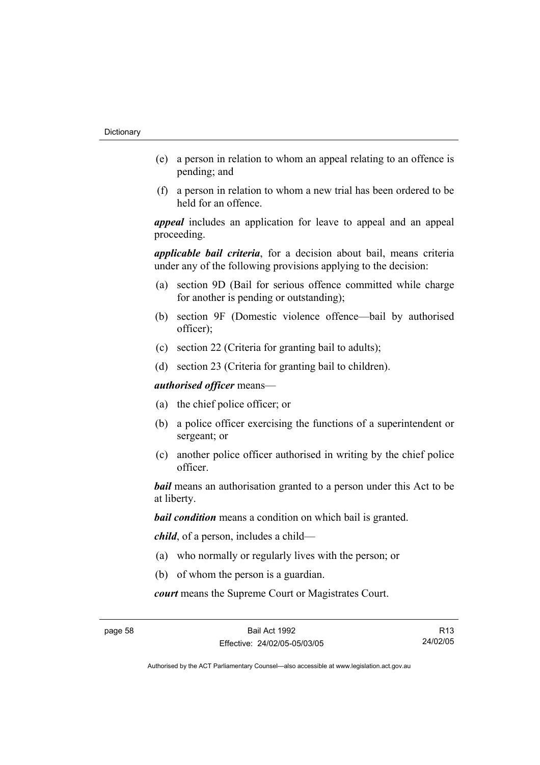- (e) a person in relation to whom an appeal relating to an offence is pending; and
- (f) a person in relation to whom a new trial has been ordered to be held for an offence.

*appeal* includes an application for leave to appeal and an appeal proceeding.

*applicable bail criteria*, for a decision about bail, means criteria under any of the following provisions applying to the decision:

- (a) section 9D (Bail for serious offence committed while charge for another is pending or outstanding);
- (b) section 9F (Domestic violence offence—bail by authorised officer);
- (c) section 22 (Criteria for granting bail to adults);
- (d) section 23 (Criteria for granting bail to children).

*authorised officer* means—

- (a) the chief police officer; or
- (b) a police officer exercising the functions of a superintendent or sergeant; or
- (c) another police officer authorised in writing by the chief police officer.

*bail* means an authorisation granted to a person under this Act to be at liberty.

*bail condition* means a condition on which bail is granted.

*child*, of a person, includes a child—

- (a) who normally or regularly lives with the person; or
- (b) of whom the person is a guardian.

*court* means the Supreme Court or Magistrates Court.

R13 24/02/05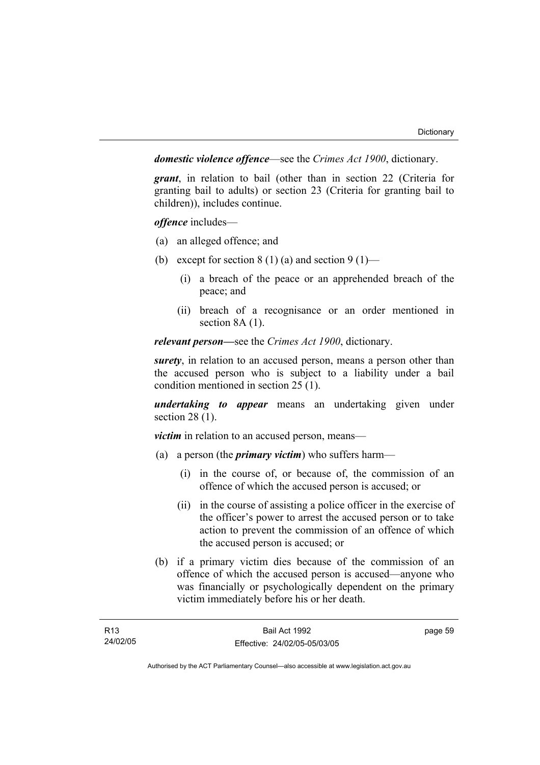*domestic violence offence*—see the *Crimes Act 1900*, dictionary.

*grant*, in relation to bail (other than in section 22 (Criteria for granting bail to adults) or section 23 (Criteria for granting bail to children)), includes continue.

*offence* includes—

- (a) an alleged offence; and
- (b) except for section  $8(1)(a)$  and section  $9(1)$ 
	- (i) a breach of the peace or an apprehended breach of the peace; and
	- (ii) breach of a recognisance or an order mentioned in section 8A (1).

*relevant person—*see the *Crimes Act 1900*, dictionary.

*surety*, in relation to an accused person, means a person other than the accused person who is subject to a liability under a bail condition mentioned in section 25 (1).

*undertaking to appear* means an undertaking given under section 28 (1).

*victim* in relation to an accused person, means—

- (a) a person (the *primary victim*) who suffers harm—
	- (i) in the course of, or because of, the commission of an offence of which the accused person is accused; or
	- (ii) in the course of assisting a police officer in the exercise of the officer's power to arrest the accused person or to take action to prevent the commission of an offence of which the accused person is accused; or
- (b) if a primary victim dies because of the commission of an offence of which the accused person is accused—anyone who was financially or psychologically dependent on the primary victim immediately before his or her death.

page 59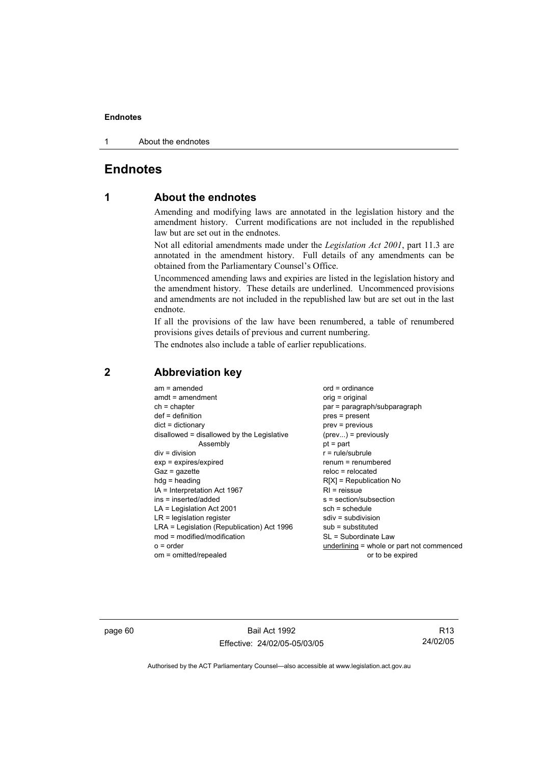1 About the endnotes

# **Endnotes**

# **1 About the endnotes**

Amending and modifying laws are annotated in the legislation history and the amendment history. Current modifications are not included in the republished law but are set out in the endnotes.

Not all editorial amendments made under the *Legislation Act 2001*, part 11.3 are annotated in the amendment history. Full details of any amendments can be obtained from the Parliamentary Counsel's Office.

Uncommenced amending laws and expiries are listed in the legislation history and the amendment history. These details are underlined. Uncommenced provisions and amendments are not included in the republished law but are set out in the last endnote.

If all the provisions of the law have been renumbered, a table of renumbered provisions gives details of previous and current numbering.

The endnotes also include a table of earlier republications.

| $am = amended$                             | $ord = ordinance$                         |
|--------------------------------------------|-------------------------------------------|
| $amdt = amendment$                         |                                           |
|                                            | $orig = original$                         |
| $ch = chapter$                             | par = paragraph/subparagraph              |
| $def = definition$                         | pres = present                            |
| $dict = dictionary$                        | $prev = previous$                         |
| disallowed = disallowed by the Legislative | $(\text{prev})$ = previously              |
| Assembly                                   | $pt = part$                               |
| $div = division$                           | $r = rule/subrule$                        |
| $exp = expires/expired$                    | $renum = renumbered$                      |
| $Gaz = gazette$                            | $reloc = relocated$                       |
| $hdg = heading$                            | $R[X]$ = Republication No                 |
| IA = Interpretation Act 1967               | $RI = reissue$                            |
| ins = inserted/added                       | s = section/subsection                    |
| $LA =$ Legislation Act 2001                | $sch = schedule$                          |
| $LR =$ legislation register                | $sdiv = subdivision$                      |
| LRA = Legislation (Republication) Act 1996 | $sub =$ substituted                       |
| $mod = modified/modification$              | SL = Subordinate Law                      |
| $o = order$                                | underlining = whole or part not commenced |
| om = omitted/repealed                      | or to be expired                          |
|                                            |                                           |

# **2 Abbreviation key**

page 60 Bail Act 1992 Effective: 24/02/05-05/03/05

R13 24/02/05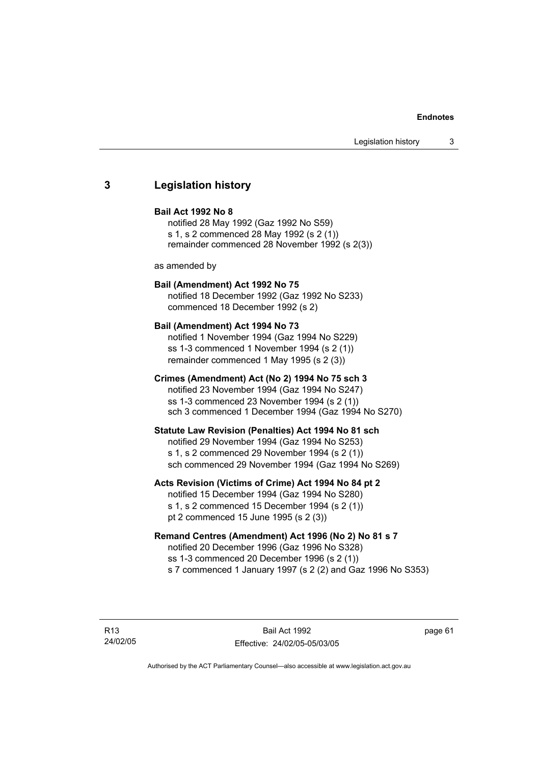### **3 Legislation history**

### **Bail Act 1992 No 8**

notified 28 May 1992 (Gaz 1992 No S59) s 1, s 2 commenced 28 May 1992 (s 2 (1)) remainder commenced 28 November 1992 (s 2(3))

as amended by

### **Bail (Amendment) Act 1992 No 75**

notified 18 December 1992 (Gaz 1992 No S233) commenced 18 December 1992 (s 2)

### **Bail (Amendment) Act 1994 No 73**

notified 1 November 1994 (Gaz 1994 No S229) ss 1-3 commenced 1 November 1994 (s 2 (1)) remainder commenced 1 May 1995 (s 2 (3))

### **Crimes (Amendment) Act (No 2) 1994 No 75 sch 3**

notified 23 November 1994 (Gaz 1994 No S247) ss 1-3 commenced 23 November 1994 (s 2 (1)) sch 3 commenced 1 December 1994 (Gaz 1994 No S270)

### **Statute Law Revision (Penalties) Act 1994 No 81 sch**

notified 29 November 1994 (Gaz 1994 No S253) s 1, s 2 commenced 29 November 1994 (s 2 (1)) sch commenced 29 November 1994 (Gaz 1994 No S269)

### **Acts Revision (Victims of Crime) Act 1994 No 84 pt 2**

notified 15 December 1994 (Gaz 1994 No S280) s 1, s 2 commenced 15 December 1994 (s 2 (1)) pt 2 commenced 15 June 1995 (s 2 (3))

### **Remand Centres (Amendment) Act 1996 (No 2) No 81 s 7**

notified 20 December 1996 (Gaz 1996 No S328) ss 1-3 commenced 20 December 1996 (s 2 (1)) s 7 commenced 1 January 1997 (s 2 (2) and Gaz 1996 No S353)

R13 24/02/05 page 61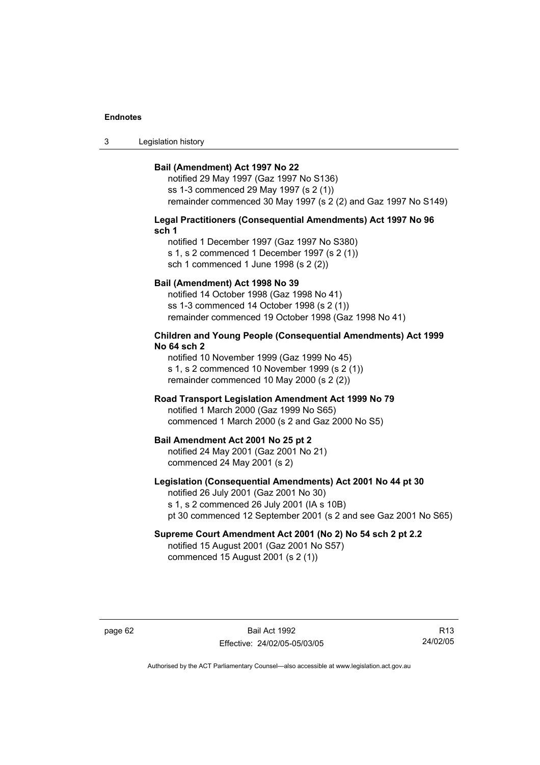3 Legislation history

### **Bail (Amendment) Act 1997 No 22**

notified 29 May 1997 (Gaz 1997 No S136) ss 1-3 commenced 29 May 1997 (s 2 (1)) remainder commenced 30 May 1997 (s 2 (2) and Gaz 1997 No S149)

### **Legal Practitioners (Consequential Amendments) Act 1997 No 96 sch 1**

notified 1 December 1997 (Gaz 1997 No S380) s 1, s 2 commenced 1 December 1997 (s 2 (1)) sch 1 commenced 1 June 1998 (s 2 (2))

### **Bail (Amendment) Act 1998 No 39**

notified 14 October 1998 (Gaz 1998 No 41) ss 1-3 commenced 14 October 1998 (s 2 (1)) remainder commenced 19 October 1998 (Gaz 1998 No 41)

### **Children and Young People (Consequential Amendments) Act 1999 No 64 sch 2**

notified 10 November 1999 (Gaz 1999 No 45) s 1, s 2 commenced 10 November 1999 (s 2 (1)) remainder commenced 10 May 2000 (s 2 (2))

### **Road Transport Legislation Amendment Act 1999 No 79**

notified 1 March 2000 (Gaz 1999 No S65) commenced 1 March 2000 (s 2 and Gaz 2000 No S5)

### **Bail Amendment Act 2001 No 25 pt 2**

notified 24 May 2001 (Gaz 2001 No 21) commenced 24 May 2001 (s 2)

### **Legislation (Consequential Amendments) Act 2001 No 44 pt 30**

notified 26 July 2001 (Gaz 2001 No 30) s 1, s 2 commenced 26 July 2001 (IA s 10B) pt 30 commenced 12 September 2001 (s 2 and see Gaz 2001 No S65)

# **Supreme Court Amendment Act 2001 (No 2) No 54 sch 2 pt 2.2**

notified 15 August 2001 (Gaz 2001 No S57) commenced 15 August 2001 (s 2 (1))

page 62 Bail Act 1992 Effective: 24/02/05-05/03/05

R13 24/02/05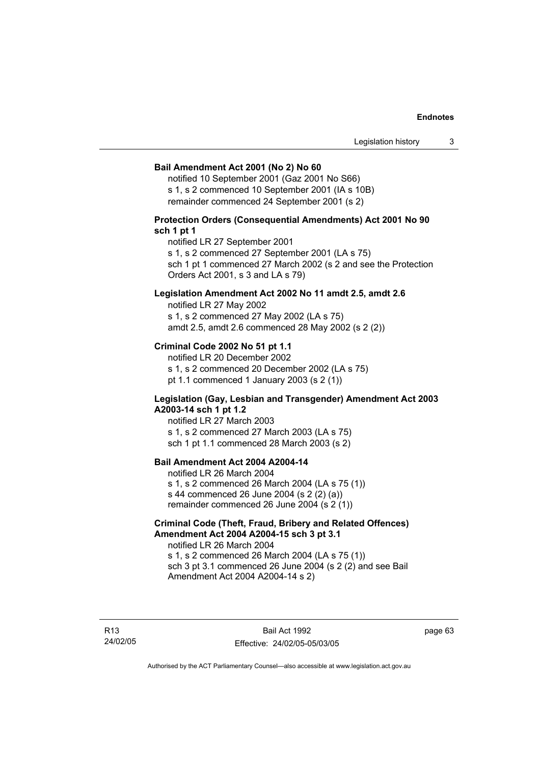### **Bail Amendment Act 2001 (No 2) No 60**

notified 10 September 2001 (Gaz 2001 No S66) s 1, s 2 commenced 10 September 2001 (IA s 10B) remainder commenced 24 September 2001 (s 2)

### **Protection Orders (Consequential Amendments) Act 2001 No 90 sch 1 pt 1**

notified LR 27 September 2001

s 1, s 2 commenced 27 September 2001 (LA s 75)

sch 1 pt 1 commenced 27 March 2002 (s 2 and see the Protection Orders Act 2001, s 3 and LA s 79)

### **Legislation Amendment Act 2002 No 11 amdt 2.5, amdt 2.6**

notified LR 27 May 2002 s 1, s 2 commenced 27 May 2002 (LA s 75) amdt 2.5, amdt 2.6 commenced 28 May 2002 (s 2 (2))

### **Criminal Code 2002 No 51 pt 1.1**

notified LR 20 December 2002 s 1, s 2 commenced 20 December 2002 (LA s 75) pt 1.1 commenced 1 January 2003 (s 2 (1))

### **Legislation (Gay, Lesbian and Transgender) Amendment Act 2003 A2003-14 sch 1 pt 1.2**

notified LR 27 March 2003 s 1, s 2 commenced 27 March 2003 (LA s 75) sch 1 pt 1.1 commenced 28 March 2003 (s 2)

### **Bail Amendment Act 2004 A2004-14**

notified LR 26 March 2004 s 1, s 2 commenced 26 March 2004 (LA s 75 (1)) s 44 commenced 26 June 2004 (s 2 (2) (a)) remainder commenced 26 June 2004 (s 2 (1))

### **Criminal Code (Theft, Fraud, Bribery and Related Offences) Amendment Act 2004 A2004-15 sch 3 pt 3.1**

notified LR 26 March 2004 s 1, s 2 commenced 26 March 2004 (LA s 75 (1)) sch 3 pt 3.1 commenced 26 June 2004 (s 2 (2) and see Bail Amendment Act 2004 A2004-14 s 2)

R13 24/02/05 page 63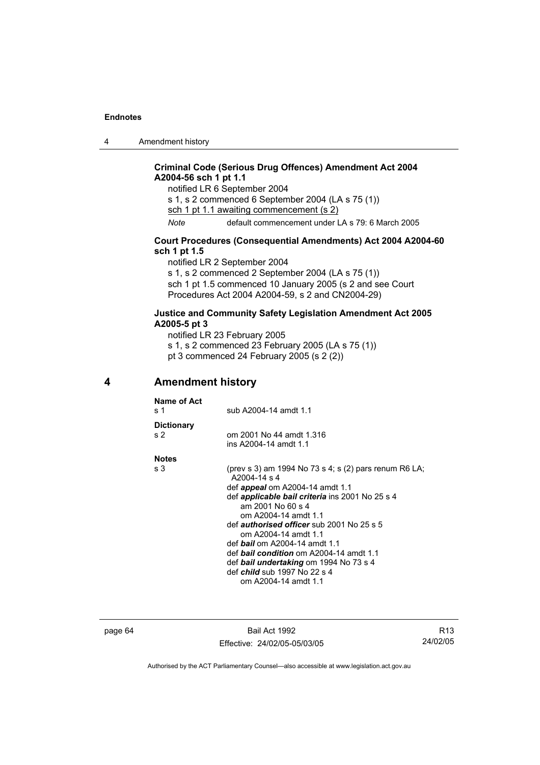4 Amendment history

### **Criminal Code (Serious Drug Offences) Amendment Act 2004 A2004-56 sch 1 pt 1.1**

notified LR 6 September 2004 s 1, s 2 commenced 6 September 2004 (LA s 75 (1)) sch 1 pt 1.1 awaiting commencement (s 2) *Note* default commencement under LA s 79: 6 March 2005

### **Court Procedures (Consequential Amendments) Act 2004 A2004-60 sch 1 pt 1.5**

notified LR 2 September 2004

s 1, s 2 commenced 2 September 2004 (LA s 75 (1))

sch 1 pt 1.5 commenced 10 January 2005 (s 2 and see Court Procedures Act 2004 A2004-59, s 2 and CN2004-29)

### **Justice and Community Safety Legislation Amendment Act 2005 A2005-5 pt 3**

notified LR 23 February 2005

s 1, s 2 commenced 23 February 2005 (LA s 75 (1))

pt 3 commenced 24 February 2005 (s  $2(2)$ )

**4 Amendment history** 

| Name of Act<br>s 1                  | sub A2004-14 amdt 1.1                                                                                                                                                                                                                                                                                                                                                                                                                                                                                  |
|-------------------------------------|--------------------------------------------------------------------------------------------------------------------------------------------------------------------------------------------------------------------------------------------------------------------------------------------------------------------------------------------------------------------------------------------------------------------------------------------------------------------------------------------------------|
| <b>Dictionary</b><br>s <sub>2</sub> | om 2001 No 44 amdt 1.316<br>ins A2004-14 amdt 1.1                                                                                                                                                                                                                                                                                                                                                                                                                                                      |
| <b>Notes</b>                        |                                                                                                                                                                                                                                                                                                                                                                                                                                                                                                        |
| s 3                                 | (prev s 3) am 1994 No 73 s 4; s (2) pars renum R6 LA;<br>$A2004-14 s4$<br>def <i>appeal</i> om A2004-14 amdt 1.1<br>def <b>applicable bail criteria</b> ins 2001 No 25 s 4<br>am 2001 No 60 s 4<br>om A2004-14 amdt 1.1<br>def <i>authorised officer</i> sub 2001 No 25 s 5<br>om A2004-14 amdt 1.1<br>def <b>bail</b> om A2004-14 amdt 1.1<br>def <b>bail condition</b> om A2004-14 amdt 1.1<br>def bail undertaking om 1994 No 73 s 4<br>def <i>child</i> sub 1997 No 22 s 4<br>om A2004-14 amdt 1.1 |
|                                     |                                                                                                                                                                                                                                                                                                                                                                                                                                                                                                        |

page 64 Bail Act 1992 Effective: 24/02/05-05/03/05

R13 24/02/05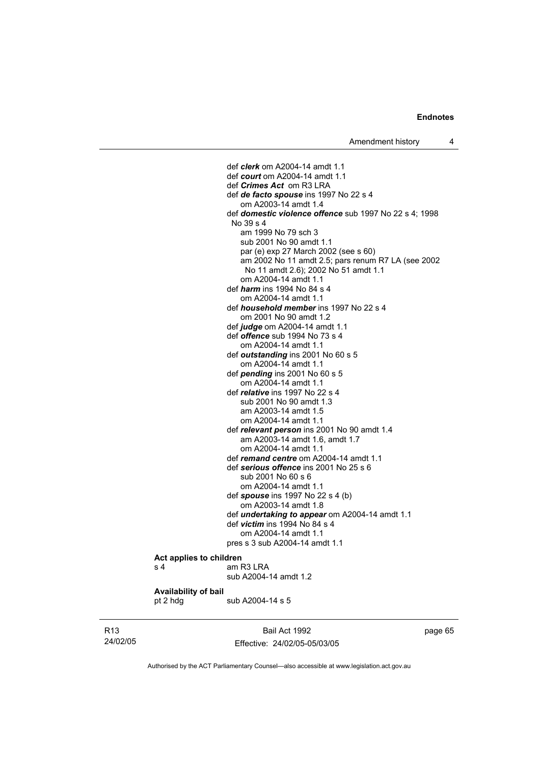def *clerk* om A2004-14 amdt 1.1 def *court* om A2004-14 amdt 1.1 def *Crimes Act* om R3 LRA def *de facto spouse* ins 1997 No 22 s 4 om A2003-14 amdt 1.4 def *domestic violence offence* sub 1997 No 22 s 4; 1998 No 39 s 4 am 1999 No 79 sch 3 sub 2001 No 90 amdt 1.1 par (e) exp 27 March 2002 (see s 60) am 2002 No 11 amdt 2.5; pars renum R7 LA (see 2002 No 11 amdt 2.6); 2002 No 51 amdt 1.1 om A2004-14 amdt 1.1 def *harm* ins 1994 No 84 s 4 om A2004-14 amdt 1.1 def *household member* ins 1997 No 22 s 4 om 2001 No 90 amdt 1.2 def *judge* om A2004-14 amdt 1.1 def *offence* sub 1994 No 73 s 4 om A2004-14 amdt 1.1 def *outstanding* ins 2001 No 60 s 5 om A2004-14 amdt 1.1 def *pending* ins 2001 No 60 s 5 om A2004-14 amdt 1.1 def *relative* ins 1997 No 22 s 4 sub 2001 No 90 amdt 1.3 am A2003-14 amdt 1.5 om A2004-14 amdt 1.1 def *relevant person* ins 2001 No 90 amdt 1.4 am A2003-14 amdt 1.6, amdt 1.7 om A2004-14 amdt 1.1 def *remand centre* om A2004-14 amdt 1.1 def *serious offence* ins 2001 No 25 s 6 sub 2001 No 60 s 6 om A2004-14 amdt 1.1 def *spouse* ins 1997 No 22 s 4 (b) om A2003-14 amdt 1.8 def *undertaking to appear* om A2004-14 amdt 1.1 def *victim* ins 1994 No 84 s 4 om A2004-14 amdt 1.1 pres s 3 sub A2004-14 amdt 1.1

#### **Act applies to children**  s 4 am R3 LRA

pt 2 hdg sub A2004-14 s 5

sub A2004-14 amdt 1.2

### **Availability of bail**

R13 24/02/05

Bail Act 1992 Effective: 24/02/05-05/03/05 page 65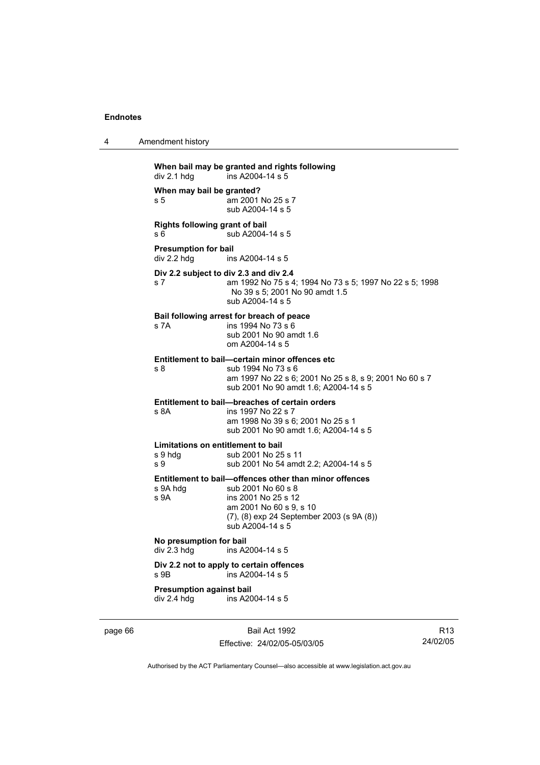| 4 | Amendment history |
|---|-------------------|
|---|-------------------|

**When bail may be granted and rights following**   $div 2.1$  hdg  $ins A2004-14 s 5$ **When may bail be granted?**  s 5 am 2001 No 25 s 7 sub A2004-14 s 5 **Rights following grant of bail**  s 6 sub A2004-14 s 5 **Presumption for bail**<br>div 2.2 hdg ins ins A2004-14 s 5 **Div 2.2 subject to div 2.3 and div 2.4** s 7 am 1992 No 75 s 4; 1994 No 73 s 5; 1997 No 22 s 5; 1998 No 39 s 5; 2001 No 90 amdt 1.5 sub A2004-14 s 5 **Bail following arrest for breach of peace** s 7A ins 1994 No 73 s 6 sub 2001 No 90 amdt 1.6 om A2004-14 s 5 **Entitlement to bail—certain minor offences etc** s 8 sub 1994 No 73 s 6 am 1997 No 22 s 6; 2001 No 25 s 8, s 9; 2001 No 60 s 7 sub 2001 No 90 amdt 1.6; A2004-14 s 5 **Entitlement to bail—breaches of certain orders** s 8A ins 1997 No 22 s 7 am 1998 No 39 s 6; 2001 No 25 s 1 sub 2001 No 90 amdt 1.6; A2004-14 s 5 **Limitations on entitlement to bail**<br>
s 9 hdg<br> **sub 2001 No 25** sub 2001 No 25 s 11 s 9 sub 2001 No 54 amdt 2.2; A2004-14 s 5 **Entitlement to bail—offences other than minor offences**  s 9A hdg sub 2001 No 60 s 8<br>s 9A ins 2001 No 25 s 12 ins 2001 No 25 s 12 am 2001 No 60 s 9, s 10 (7), (8) exp 24 September 2003 (s 9A (8)) sub A2004-14 s 5 **No presumption for bail**  div 2.3 hdg ins A2004-14 s 5 **Div 2.2 not to apply to certain offences**  s 9B ins A2004-14 s 5 **Presumption against bail**  div 2.4 hdg ins A2004-14 s 5

page 66 Bail Act 1992 Effective: 24/02/05-05/03/05

R13 24/02/05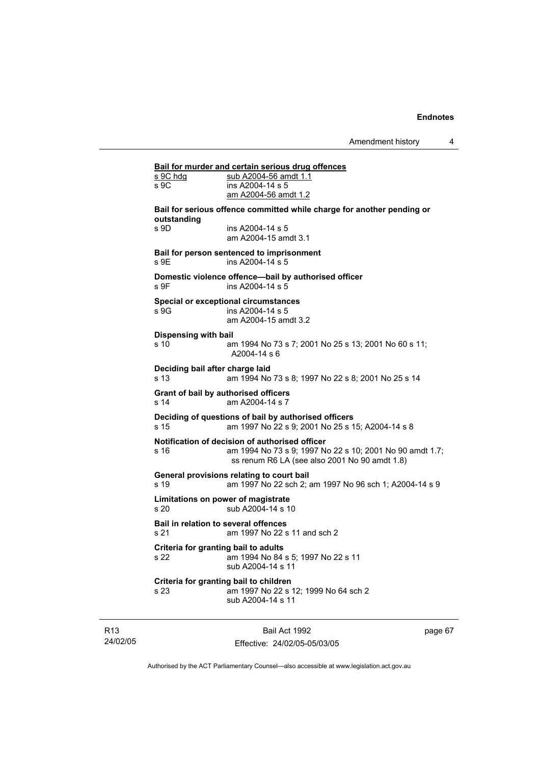# **Bail for murder and certain serious drug offences**

| s 9C hdg<br>s 9C                                    | <u>Ball for murder and certain serious drug offences</u><br>sub A2004-56 amdt 1.1<br>ins A2004-14 s 5<br>am A2004-56 amdt 1.2                               |
|-----------------------------------------------------|-------------------------------------------------------------------------------------------------------------------------------------------------------------|
|                                                     | Bail for serious offence committed while charge for another pending or                                                                                      |
| outstanding<br>s 9D                                 | ins A2004-14 s 5<br>am A2004-15 amdt 3.1                                                                                                                    |
| s 9E                                                | Bail for person sentenced to imprisonment<br>ins A2004-14 s 5                                                                                               |
| s 9F                                                | Domestic violence offence-bail by authorised officer<br>ins A2004-14 s 5                                                                                    |
| s 9G                                                | <b>Special or exceptional circumstances</b><br>ins A2004-14 s 5<br>am A2004-15 amdt 3.2                                                                     |
| <b>Dispensing with bail</b><br>s 10                 | am 1994 No 73 s 7; 2001 No 25 s 13; 2001 No 60 s 11;<br>A2004-14 s 6                                                                                        |
| Deciding bail after charge laid<br>s 13             | am 1994 No 73 s 8; 1997 No 22 s 8; 2001 No 25 s 14                                                                                                          |
| s 14                                                | Grant of bail by authorised officers<br>am A2004-14 s 7                                                                                                     |
| s 15                                                | Deciding of questions of bail by authorised officers<br>am 1997 No 22 s 9; 2001 No 25 s 15; A2004-14 s 8                                                    |
| s 16                                                | Notification of decision of authorised officer<br>am 1994 No 73 s 9; 1997 No 22 s 10; 2001 No 90 amdt 1.7;<br>ss renum R6 LA (see also 2001 No 90 amdt 1.8) |
| s 19                                                | General provisions relating to court bail<br>am 1997 No 22 sch 2; am 1997 No 96 sch 1; A2004-14 s 9                                                         |
| s 20                                                | Limitations on power of magistrate<br>sub A2004-14 s 10                                                                                                     |
| <b>Bail in relation to several offences</b><br>s 21 | am 1997 No 22 s 11 and sch 2                                                                                                                                |
| Criteria for granting bail to adults<br>s 22        | am 1994 No 84 s 5; 1997 No 22 s 11<br>sub A2004-14 s 11                                                                                                     |
| s 23                                                | Criteria for granting bail to children<br>am 1997 No 22 s 12; 1999 No 64 sch 2<br>sub A2004-14 s 11                                                         |
|                                                     |                                                                                                                                                             |

R13 24/02/05

Bail Act 1992 Effective: 24/02/05-05/03/05 page 67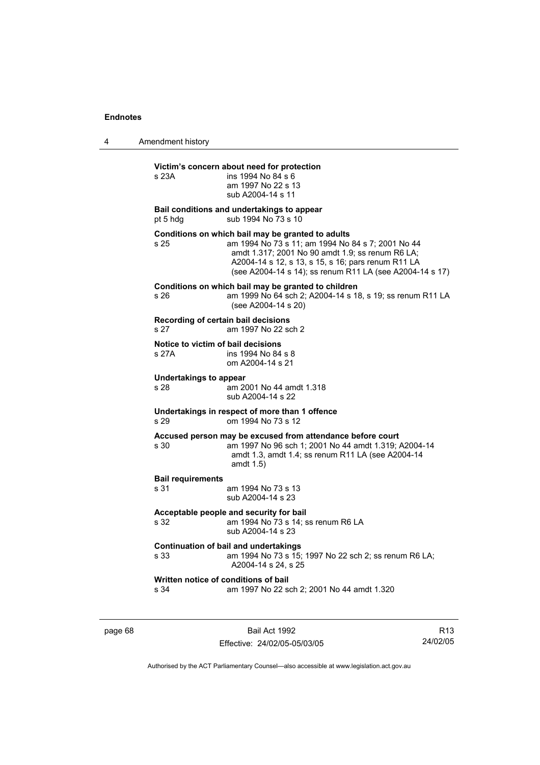4 Amendment history

# **Victim's concern about need for protection**

| s 23A                                                                                                                                | victim's concern about need for protection<br>ins 1994 No 84 s 6<br>am 1997 No 22 s 13<br>sub A2004-14 s 11                                                                                                                                                                  |  |
|--------------------------------------------------------------------------------------------------------------------------------------|------------------------------------------------------------------------------------------------------------------------------------------------------------------------------------------------------------------------------------------------------------------------------|--|
| pt 5 hdg                                                                                                                             | Bail conditions and undertakings to appear<br>sub 1994 No 73 s 10                                                                                                                                                                                                            |  |
| s 25                                                                                                                                 | Conditions on which bail may be granted to adults<br>am 1994 No 73 s 11; am 1994 No 84 s 7; 2001 No 44<br>amdt 1.317; 2001 No 90 amdt 1.9; ss renum R6 LA;<br>A2004-14 s 12, s 13, s 15, s 16; pars renum R11 LA<br>(see A2004-14 s 14); ss renum R11 LA (see A2004-14 s 17) |  |
| s 26                                                                                                                                 | Conditions on which bail may be granted to children<br>am 1999 No 64 sch 2; A2004-14 s 18, s 19; ss renum R11 LA<br>(see A2004-14 s 20)                                                                                                                                      |  |
| s 27                                                                                                                                 | Recording of certain bail decisions<br>am 1997 No 22 sch 2                                                                                                                                                                                                                   |  |
| Notice to victim of bail decisions<br>s 27A                                                                                          | ins 1994 No 84 s 8<br>om A2004-14 s 21                                                                                                                                                                                                                                       |  |
| <b>Undertakings to appear</b><br>s 28                                                                                                | am 2001 No 44 amdt 1.318<br>sub A2004-14 s 22                                                                                                                                                                                                                                |  |
| s 29                                                                                                                                 | Undertakings in respect of more than 1 offence<br>om 1994 No 73 s 12                                                                                                                                                                                                         |  |
| s 30                                                                                                                                 | Accused person may be excused from attendance before court<br>am 1997 No 96 sch 1; 2001 No 44 amdt 1.319; A2004-14<br>amdt 1.3, amdt 1.4; ss renum R11 LA (see A2004-14<br>amdt $1.5$ )                                                                                      |  |
| <b>Bail requirements</b><br>s 31                                                                                                     | am 1994 No 73 s 13<br>sub A2004-14 s 23                                                                                                                                                                                                                                      |  |
| Acceptable people and security for bail<br>am 1994 No 73 s 14; ss renum R6 LA<br>s 32<br>sub A2004-14 s 23                           |                                                                                                                                                                                                                                                                              |  |
| <b>Continuation of bail and undertakings</b><br>s 33<br>am 1994 No 73 s 15; 1997 No 22 sch 2; ss renum R6 LA;<br>A2004-14 s 24, s 25 |                                                                                                                                                                                                                                                                              |  |
| s 34                                                                                                                                 | Written notice of conditions of bail<br>am 1997 No 22 sch 2; 2001 No 44 amdt 1.320                                                                                                                                                                                           |  |

page 68 Bail Act 1992 Effective: 24/02/05-05/03/05

R13 24/02/05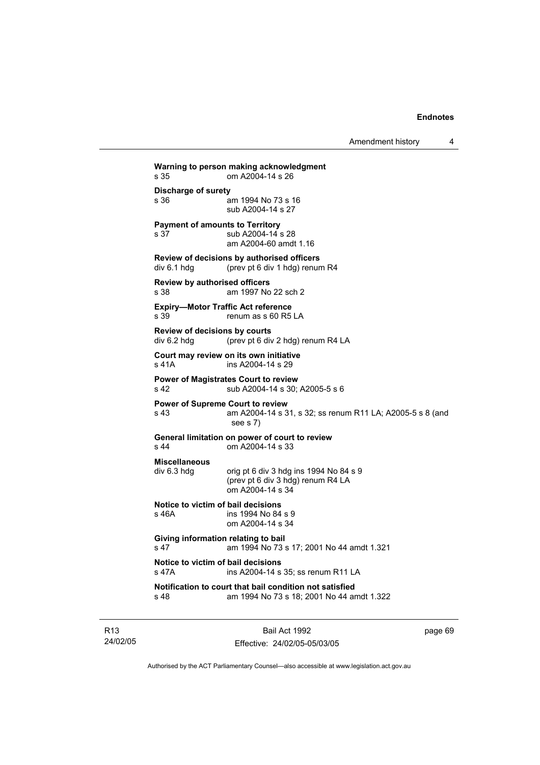Amendment history 4

**Warning to person making acknowledgment** s 35 om A2004-14 s 26 **Discharge of surety** s 36 am 1994 No 73 s 16 sub A2004-14 s 27 **Payment of amounts to Territory** s 37 sub A2004-14 s 28 am A2004-60 amdt 1.16 **Review of decisions by authorised officers**  div 6.1 hdg (prev pt 6 div 1 hdg) renum R4 **Review by authorised officers** s 38 am 1997 No 22 sch 2 **Expiry—Motor Traffic Act reference**  s 39 renum as s 60 R5 LA **Review of decisions by courts**  div 6.2 hdg (prev pt 6 div 2 hdg) renum R4 LA **Court may review on its own initiative** s 41A ins A2004-14 s 29 **Power of Magistrates Court to review** s 42 sub A2004-14 s 30; A2005-5 s 6 **Power of Supreme Court to review** s 43 am A2004-14 s 31, s 32; ss renum R11 LA; A2005-5 s 8 (and see s 7) **General limitation on power of court to review** s 44 om A2004-14 s 33 **Miscellaneous**   $div 6.3$  hdg orig pt 6 div 3 hdg ins 1994 No 84 s 9 (prev pt 6 div 3 hdg) renum R4 LA om A2004-14 s 34 **Notice to victim of bail decisions** s 46A ins 1994 No 84 s 9 om A2004-14 s 34 **Giving information relating to bail** s 47 am 1994 No 73 s 17; 2001 No 44 amdt 1.321 **Notice to victim of bail decisions** s 47A ins A2004-14 s 35; ss renum R11 LA **Notification to court that bail condition not satisfied** s 48 am 1994 No 73 s 18; 2001 No 44 amdt 1.322

R13 24/02/05

Bail Act 1992 Effective: 24/02/05-05/03/05 page 69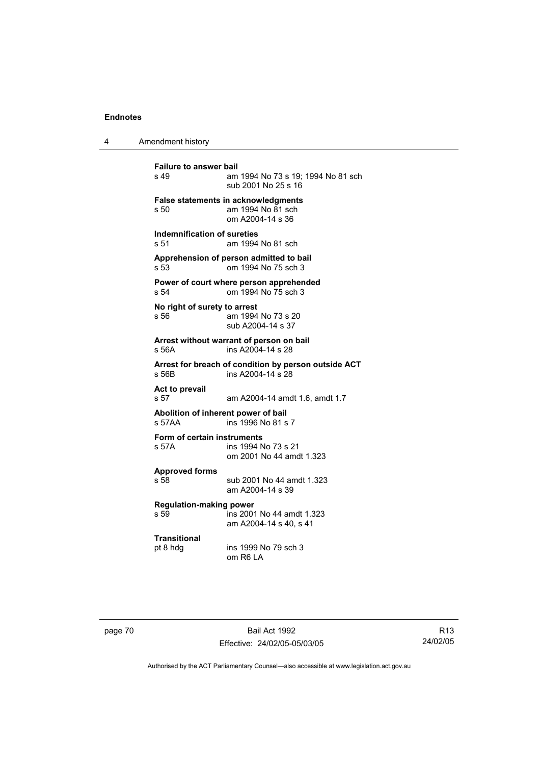4 Amendment history

**Failure to answer bail**<br>s 49 am am 1994 No 73 s 19: 1994 No 81 sch sub 2001 No 25 s 16 **False statements in acknowledgments** s 50 am 1994 No 81 sch om A2004-14 s 36 **Indemnification of sureties** s 51 am 1994 No 81 sch **Apprehension of person admitted to bail** s 53 om 1994 No 75 sch 3 **Power of court where person apprehended** s 54 om 1994 No 75 sch 3 **No right of surety to arrest** s 56 am 1994 No 73 s 20 sub A2004-14 s 37 **Arrest without warrant of person on bail** s 56A ins A2004-14 s 28 **Arrest for breach of condition by person outside ACT** s 56B ins A2004-14 s 28 **Act to prevail**  s 57 am A2004-14 amdt 1.6, amdt 1.7 **Abolition of inherent power of bail** s 57AA ins 1996 No 81 s 7 **Form of certain instruments** s 57A ins 1994 No 73 s 21 om 2001 No 44 amdt 1.323 **Approved forms**  s 58 sub 2001 No 44 amdt 1.323 am A2004-14 s 39 **Regulation-making power**  s 59 ins 2001 No 44 amdt 1.323 am A2004-14 s 40, s 41 **Transitional** pt 8 hdg ins 1999 No 79 sch 3 om R6 LA

page 70 Bail Act 1992 Effective: 24/02/05-05/03/05

R13 24/02/05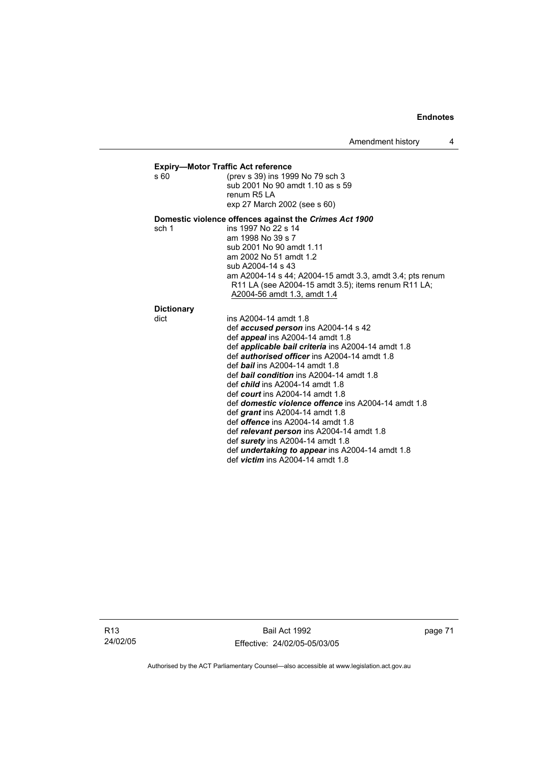# **Expiry—Motor Traffic Act reference**<br>s 60 (prev s 39) ins 199

(prev s 39) ins 1999 No 79 sch 3 sub 2001 No 90 amdt 1.10 as s 59 renum R5 LA exp 27 March 2002 (see s 60)

### **Domestic violence offences against the** *Crimes Act 1900*

sch 1 ins 1997 No 22 s 14 am 1998 No 39 s 7 sub 2001 No 90 amdt 1.11 am 2002 No 51 amdt 1.2 sub A2004-14 s 43 am A2004-14 s 44; A2004-15 amdt 3.3, amdt 3.4; pts renum R11 LA (see A2004-15 amdt 3.5); items renum R11 LA; A2004-56 amdt 1.3, amdt 1.4

## **Dictionary**

| . . | ١ı |
|-----|----|
|     |    |

| dict | ins A2004-14 amdt 1.8                                      |
|------|------------------------------------------------------------|
|      | def <b>accused person</b> ins A2004-14 s 42                |
|      | def <i>appeal</i> ins A2004-14 amdt 1.8                    |
|      | def <i>applicable bail criteria</i> ins A2004-14 amdt 1.8  |
|      | def <i>authorised officer</i> ins A2004-14 amdt 1.8        |
|      | def <b>bail</b> ins A2004-14 amdt 1.8                      |
|      | def <b>bail condition</b> ins A2004-14 amdt 1.8            |
|      | def <i>child</i> ins $A2004-14$ amdt 1.8                   |
|      | def court ins $A2004-14$ amdt 1.8                          |
|      | def <i>domestic violence offence</i> ins A2004-14 amdt 1.8 |
|      | def <i>grant</i> ins $A2004-14$ amdt 1.8                   |
|      | def offence ins A2004-14 amdt 1.8                          |
|      | def relevant person ins A2004-14 amdt 1.8                  |
|      | def surety ins A2004-14 amdt 1.8                           |
|      | def <i>undertaking to appear</i> ins A2004-14 amdt 1.8     |
|      | def <i>victim</i> ins A2004-14 amdt 1.8                    |
|      |                                                            |

page 71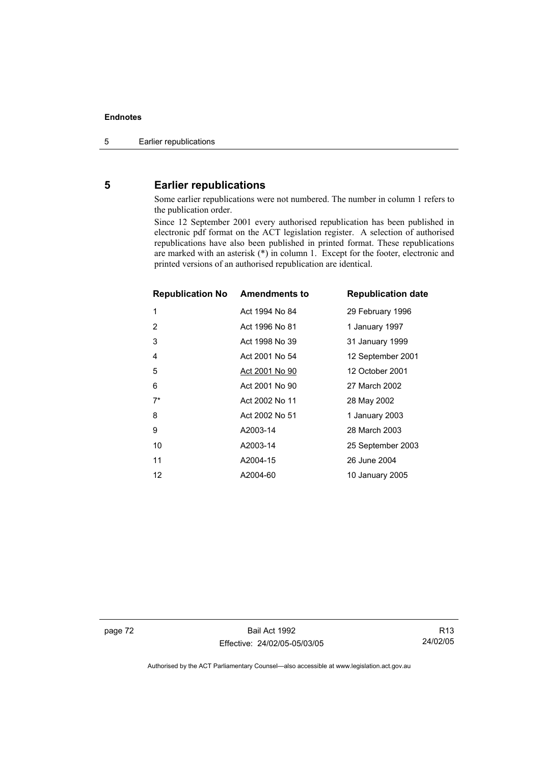# **5 Earlier republications**

Some earlier republications were not numbered. The number in column 1 refers to the publication order.

Since 12 September 2001 every authorised republication has been published in electronic pdf format on the ACT legislation register. A selection of authorised republications have also been published in printed format. These republications are marked with an asterisk (\*) in column 1. Except for the footer, electronic and printed versions of an authorised republication are identical.

| <b>Republication No Amendments to</b> |                | <b>Republication date</b> |
|---------------------------------------|----------------|---------------------------|
| 1                                     | Act 1994 No 84 | 29 February 1996          |
| 2                                     | Act 1996 No 81 | 1 January 1997            |
| 3                                     | Act 1998 No 39 | 31 January 1999           |
| 4                                     | Act 2001 No 54 | 12 September 2001         |
| 5                                     | Act 2001 No 90 | 12 October 2001           |
| 6                                     | Act 2001 No 90 | 27 March 2002             |
| $7^*$                                 | Act 2002 No 11 | 28 May 2002               |
| 8                                     | Act 2002 No 51 | 1 January 2003            |
| 9                                     | A2003-14       | 28 March 2003             |
| 10                                    | A2003-14       | 25 September 2003         |
| 11                                    | A2004-15       | 26 June 2004              |
| 12                                    | A2004-60       | 10 January 2005           |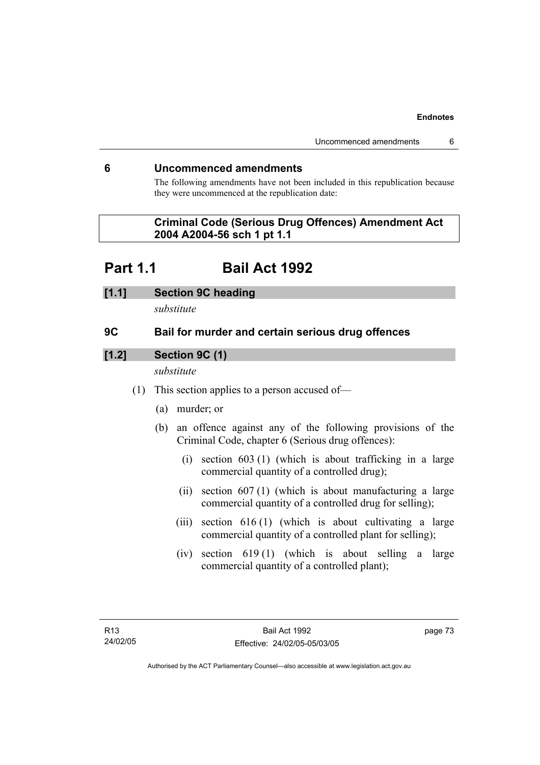# **6 Uncommenced amendments**

The following amendments have not been included in this republication because they were uncommenced at the republication date:

# **Criminal Code (Serious Drug Offences) Amendment Act 2004 A2004-56 sch 1 pt 1.1**

# **Part 1.1 Bail Act 1992**

# **[1.1] Section 9C heading**

*substitute* 

# **9C Bail for murder and certain serious drug offences**

# **[1.2] Section 9C (1)**

*substitute* 

- (1) This section applies to a person accused of—
	- (a) murder; or
	- (b) an offence against any of the following provisions of the Criminal Code, chapter 6 (Serious drug offences):
		- (i) section 603 (1) (which is about trafficking in a large commercial quantity of a controlled drug);
		- (ii) section 607 (1) (which is about manufacturing a large commercial quantity of a controlled drug for selling);
		- (iii) section 616 (1) (which is about cultivating a large commercial quantity of a controlled plant for selling);
		- (iv) section 619 (1) (which is about selling a large commercial quantity of a controlled plant);

page 73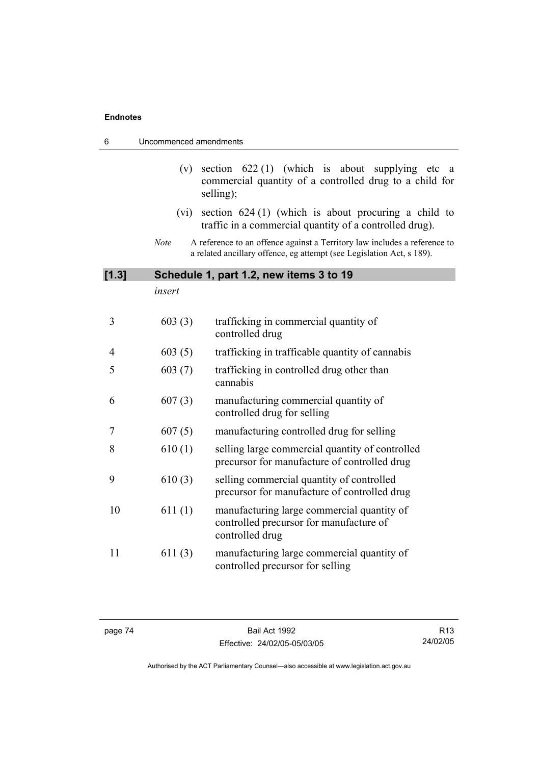| 6              | Uncommenced amendments |                                                                                                                                                    |
|----------------|------------------------|----------------------------------------------------------------------------------------------------------------------------------------------------|
|                | (v)                    | section $622(1)$ (which is about supplying etc<br>a<br>commercial quantity of a controlled drug to a child for<br>selling);                        |
|                | (vi)                   | section $624(1)$ (which is about procuring a child to<br>traffic in a commercial quantity of a controlled drug).                                   |
|                | <b>Note</b>            | A reference to an offence against a Territory law includes a reference to<br>a related ancillary offence, eg attempt (see Legislation Act, s 189). |
| [1.3]          |                        | Schedule 1, part 1.2, new items 3 to 19                                                                                                            |
|                | insert                 |                                                                                                                                                    |
| 3              | 603(3)                 | trafficking in commercial quantity of<br>controlled drug                                                                                           |
| $\overline{4}$ | 603(5)                 | trafficking in trafficable quantity of cannabis                                                                                                    |
| 5              | 603(7)                 | trafficking in controlled drug other than<br>cannabis                                                                                              |
| 6              | 607(3)                 | manufacturing commercial quantity of<br>controlled drug for selling                                                                                |
| 7              | 607(5)                 | manufacturing controlled drug for selling                                                                                                          |
| 8              | 610(1)                 | selling large commercial quantity of controlled<br>precursor for manufacture of controlled drug                                                    |
| 9              | 610(3)                 | selling commercial quantity of controlled<br>precursor for manufacture of controlled drug                                                          |
| 10             | 611(1)                 | manufacturing large commercial quantity of<br>controlled precursor for manufacture of<br>controlled drug                                           |
| 11             | 611(3)                 | manufacturing large commercial quantity of<br>controlled precursor for selling                                                                     |